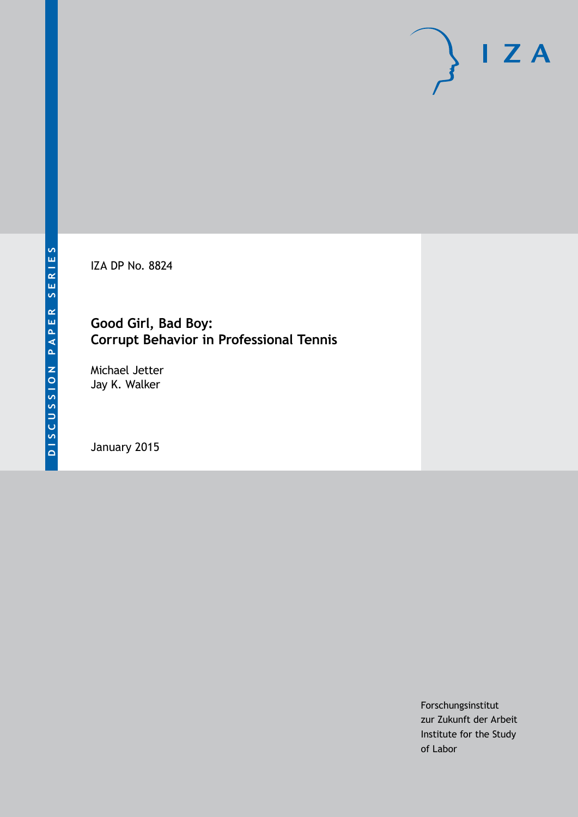IZA DP No. 8824

## **Good Girl, Bad Boy: Corrupt Behavior in Professional Tennis**

Michael Jetter Jay K. Walker

January 2015

Forschungsinstitut zur Zukunft der Arbeit Institute for the Study of Labor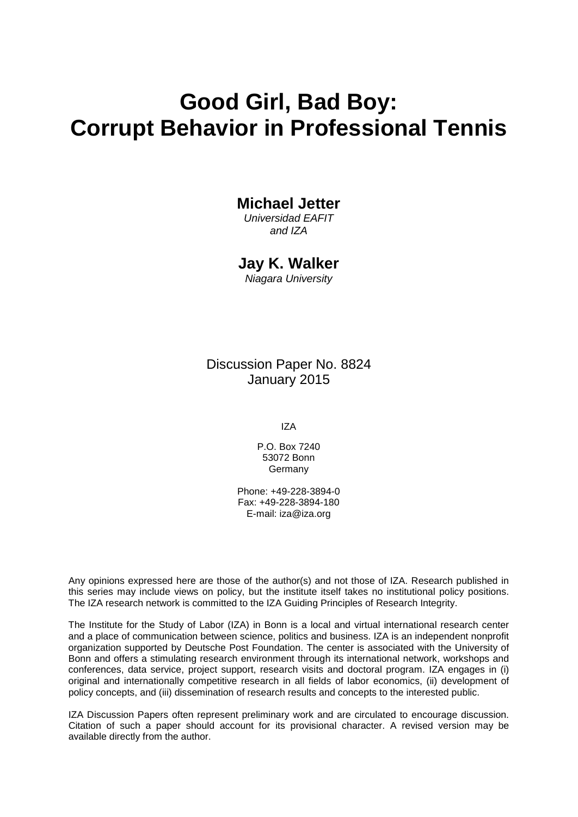## **Good Girl, Bad Boy: Corrupt Behavior in Professional Tennis**

## **Michael Jetter**

*Universidad EAFIT and IZA*

### **Jay K. Walker**

*Niagara University*

Discussion Paper No. 8824 January 2015

IZA

P.O. Box 7240 53072 Bonn Germany

Phone: +49-228-3894-0 Fax: +49-228-3894-180 E-mail: [iza@iza.org](mailto:iza@iza.org)

Any opinions expressed here are those of the author(s) and not those of IZA. Research published in this series may include views on policy, but the institute itself takes no institutional policy positions. The IZA research network is committed to the IZA Guiding Principles of Research Integrity.

The Institute for the Study of Labor (IZA) in Bonn is a local and virtual international research center and a place of communication between science, politics and business. IZA is an independent nonprofit organization supported by Deutsche Post Foundation. The center is associated with the University of Bonn and offers a stimulating research environment through its international network, workshops and conferences, data service, project support, research visits and doctoral program. IZA engages in (i) original and internationally competitive research in all fields of labor economics, (ii) development of policy concepts, and (iii) dissemination of research results and concepts to the interested public.

<span id="page-1-0"></span>IZA Discussion Papers often represent preliminary work and are circulated to encourage discussion. Citation of such a paper should account for its provisional character. A revised version may be available directly from the author.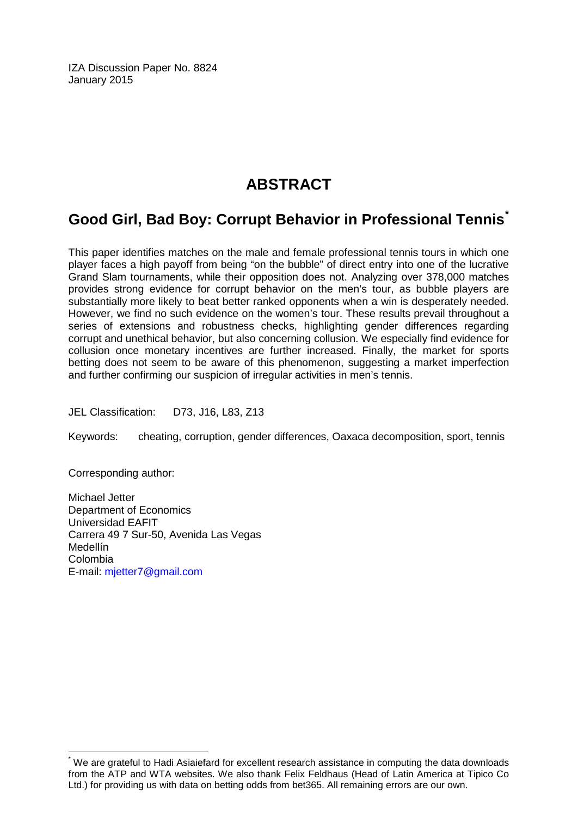IZA Discussion Paper No. 8824 January 2015

## **ABSTRACT**

## **Good Girl, Bad Boy: Corrupt Behavior in Professional Tennis[\\*](#page-1-0)**

This paper identifies matches on the male and female professional tennis tours in which one player faces a high payoff from being "on the bubble" of direct entry into one of the lucrative Grand Slam tournaments, while their opposition does not. Analyzing over 378,000 matches provides strong evidence for corrupt behavior on the men's tour, as bubble players are substantially more likely to beat better ranked opponents when a win is desperately needed. However, we find no such evidence on the women's tour. These results prevail throughout a series of extensions and robustness checks, highlighting gender differences regarding corrupt and unethical behavior, but also concerning collusion. We especially find evidence for collusion once monetary incentives are further increased. Finally, the market for sports betting does not seem to be aware of this phenomenon, suggesting a market imperfection and further confirming our suspicion of irregular activities in men's tennis.

JEL Classification: D73, J16, L83, Z13

Keywords: cheating, corruption, gender differences, Oaxaca decomposition, sport, tennis

Corresponding author:

Michael Jetter Department of Economics Universidad EAFIT Carrera 49 7 Sur-50, Avenida Las Vegas Medellín Colombia E-mail: [mjetter7@gmail.com](mailto:mjetter7@gmail.com)

\* We are grateful to Hadi Asiaiefard for excellent research assistance in computing the data downloads from the ATP and WTA websites. We also thank Felix Feldhaus (Head of Latin America at Tipico Co Ltd.) for providing us with data on betting odds from bet365. All remaining errors are our own.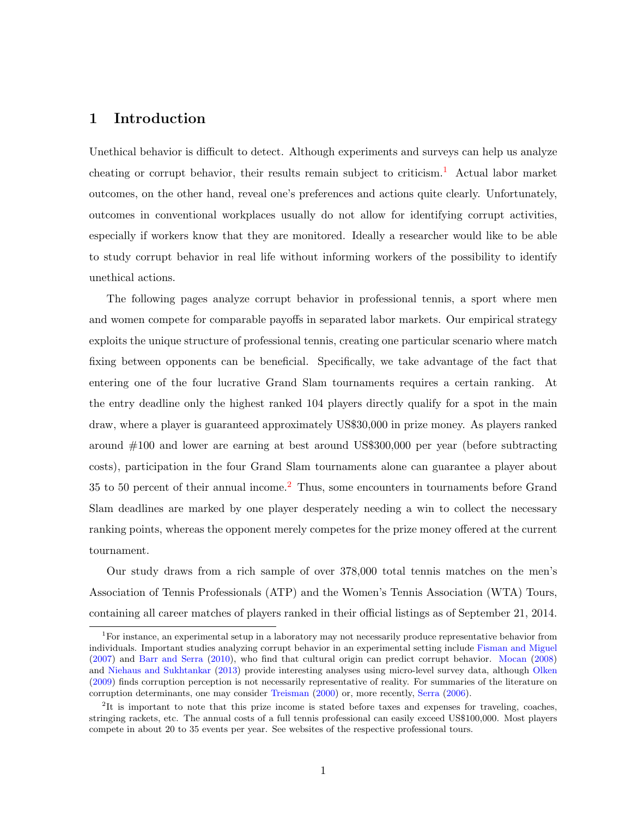#### 1 Introduction

Unethical behavior is difficult to detect. Although experiments and surveys can help us analyze cheating or corrupt behavior, their results remain subject to criticism.<sup>[1](#page-3-0)</sup> Actual labor market outcomes, on the other hand, reveal one's preferences and actions quite clearly. Unfortunately, outcomes in conventional workplaces usually do not allow for identifying corrupt activities, especially if workers know that they are monitored. Ideally a researcher would like to be able to study corrupt behavior in real life without informing workers of the possibility to identify unethical actions.

The following pages analyze corrupt behavior in professional tennis, a sport where men and women compete for comparable payoffs in separated labor markets. Our empirical strategy exploits the unique structure of professional tennis, creating one particular scenario where match fixing between opponents can be beneficial. Specifically, we take advantage of the fact that entering one of the four lucrative Grand Slam tournaments requires a certain ranking. At the entry deadline only the highest ranked 104 players directly qualify for a spot in the main draw, where a player is guaranteed approximately US\$30,000 in prize money. As players ranked around #100 and lower are earning at best around US\$300,000 per year (before subtracting costs), participation in the four Grand Slam tournaments alone can guarantee a player about 35 to 50 percent of their annual income.[2](#page-3-1) Thus, some encounters in tournaments before Grand Slam deadlines are marked by one player desperately needing a win to collect the necessary ranking points, whereas the opponent merely competes for the prize money offered at the current tournament.

Our study draws from a rich sample of over 378,000 total tennis matches on the men's Association of Tennis Professionals (ATP) and the Women's Tennis Association (WTA) Tours, containing all career matches of players ranked in their official listings as of September 21, 2014.

<span id="page-3-0"></span><sup>&</sup>lt;sup>1</sup>For instance, an experimental setup in a laboratory may not necessarily produce representative behavior from individuals. Important studies analyzing corrupt behavior in an experimental setting include [Fisman and Miguel](#page-31-0) [\(2007\)](#page-31-0) and [Barr and Serra](#page-31-1) [\(2010\)](#page-31-1), who find that cultural origin can predict corrupt behavior. [Mocan](#page-31-2) [\(2008\)](#page-31-2) and [Niehaus and Sukhtankar](#page-31-3) [\(2013\)](#page-31-3) provide interesting analyses using micro-level survey data, although [Olken](#page-32-0) [\(2009\)](#page-32-0) finds corruption perception is not necessarily representative of reality. For summaries of the literature on corruption determinants, one may consider [Treisman](#page-32-1) [\(2000\)](#page-32-1) or, more recently, [Serra](#page-32-2) [\(2006\)](#page-32-2).

<span id="page-3-1"></span><sup>&</sup>lt;sup>2</sup>It is important to note that this prize income is stated before taxes and expenses for traveling, coaches, stringing rackets, etc. The annual costs of a full tennis professional can easily exceed US\$100,000. Most players compete in about 20 to 35 events per year. See websites of the respective professional tours.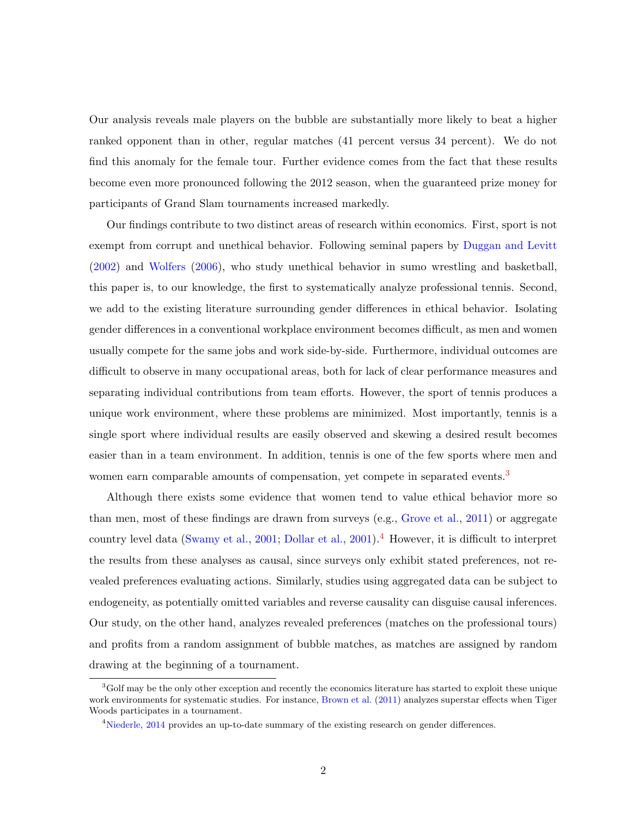Our analysis reveals male players on the bubble are substantially more likely to beat a higher ranked opponent than in other, regular matches (41 percent versus 34 percent). We do not find this anomaly for the female tour. Further evidence comes from the fact that these results become even more pronounced following the 2012 season, when the guaranteed prize money for participants of Grand Slam tournaments increased markedly.

Our findings contribute to two distinct areas of research within economics. First, sport is not exempt from corrupt and unethical behavior. Following seminal papers by [Duggan and Levitt](#page-31-4) [\(2002\)](#page-31-4) and [Wolfers](#page-32-3) [\(2006\)](#page-32-3), who study unethical behavior in sumo wrestling and basketball, this paper is, to our knowledge, the first to systematically analyze professional tennis. Second, we add to the existing literature surrounding gender differences in ethical behavior. Isolating gender differences in a conventional workplace environment becomes difficult, as men and women usually compete for the same jobs and work side-by-side. Furthermore, individual outcomes are difficult to observe in many occupational areas, both for lack of clear performance measures and separating individual contributions from team efforts. However, the sport of tennis produces a unique work environment, where these problems are minimized. Most importantly, tennis is a single sport where individual results are easily observed and skewing a desired result becomes easier than in a team environment. In addition, tennis is one of the few sports where men and women earn comparable amounts of compensation, yet compete in separated events.<sup>[3](#page-4-0)</sup>

Although there exists some evidence that women tend to value ethical behavior more so than men, most of these findings are drawn from surveys (e.g., [Grove et al.,](#page-31-5) [2011\)](#page-31-5) or aggregate country level data [\(Swamy et al.,](#page-32-4) [2001;](#page-32-4) [Dollar et al.,](#page-31-6) [2001\)](#page-31-6).<sup>[4](#page-4-1)</sup> However, it is difficult to interpret the results from these analyses as causal, since surveys only exhibit stated preferences, not revealed preferences evaluating actions. Similarly, studies using aggregated data can be subject to endogeneity, as potentially omitted variables and reverse causality can disguise causal inferences. Our study, on the other hand, analyzes revealed preferences (matches on the professional tours) and profits from a random assignment of bubble matches, as matches are assigned by random drawing at the beginning of a tournament.

<span id="page-4-0"></span><sup>3</sup>Golf may be the only other exception and recently the economics literature has started to exploit these unique work environments for systematic studies. For instance, [Brown et al.](#page-31-7) [\(2011\)](#page-31-7) analyzes superstar effects when Tiger Woods participates in a tournament.

<span id="page-4-1"></span><sup>4</sup>[Niederle,](#page-31-8) [2014](#page-31-8) provides an up-to-date summary of the existing research on gender differences.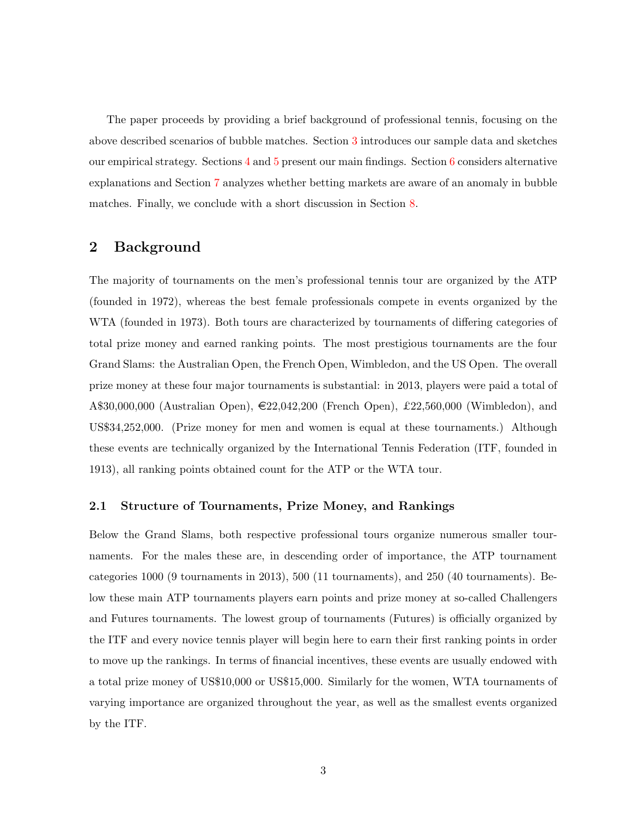The paper proceeds by providing a brief background of professional tennis, focusing on the above described scenarios of bubble matches. Section [3](#page-8-0) introduces our sample data and sketches our empirical strategy. Sections  $4$  and  $5$  present our main findings. Section [6](#page-23-0) considers alternative explanations and Section [7](#page-26-0) analyzes whether betting markets are aware of an anomaly in bubble matches. Finally, we conclude with a short discussion in Section [8.](#page-29-0)

#### 2 Background

The majority of tournaments on the men's professional tennis tour are organized by the ATP (founded in 1972), whereas the best female professionals compete in events organized by the WTA (founded in 1973). Both tours are characterized by tournaments of differing categories of total prize money and earned ranking points. The most prestigious tournaments are the four Grand Slams: the Australian Open, the French Open, Wimbledon, and the US Open. The overall prize money at these four major tournaments is substantial: in 2013, players were paid a total of A\$30,000,000 (Australian Open),  $\epsilon$ 22,042,200 (French Open), £22,560,000 (Wimbledon), and US\$34,252,000. (Prize money for men and women is equal at these tournaments.) Although these events are technically organized by the International Tennis Federation (ITF, founded in 1913), all ranking points obtained count for the ATP or the WTA tour.

#### 2.1 Structure of Tournaments, Prize Money, and Rankings

Below the Grand Slams, both respective professional tours organize numerous smaller tournaments. For the males these are, in descending order of importance, the ATP tournament categories 1000 (9 tournaments in 2013), 500 (11 tournaments), and 250 (40 tournaments). Below these main ATP tournaments players earn points and prize money at so-called Challengers and Futures tournaments. The lowest group of tournaments (Futures) is officially organized by the ITF and every novice tennis player will begin here to earn their first ranking points in order to move up the rankings. In terms of financial incentives, these events are usually endowed with a total prize money of US\$10,000 or US\$15,000. Similarly for the women, WTA tournaments of varying importance are organized throughout the year, as well as the smallest events organized by the ITF.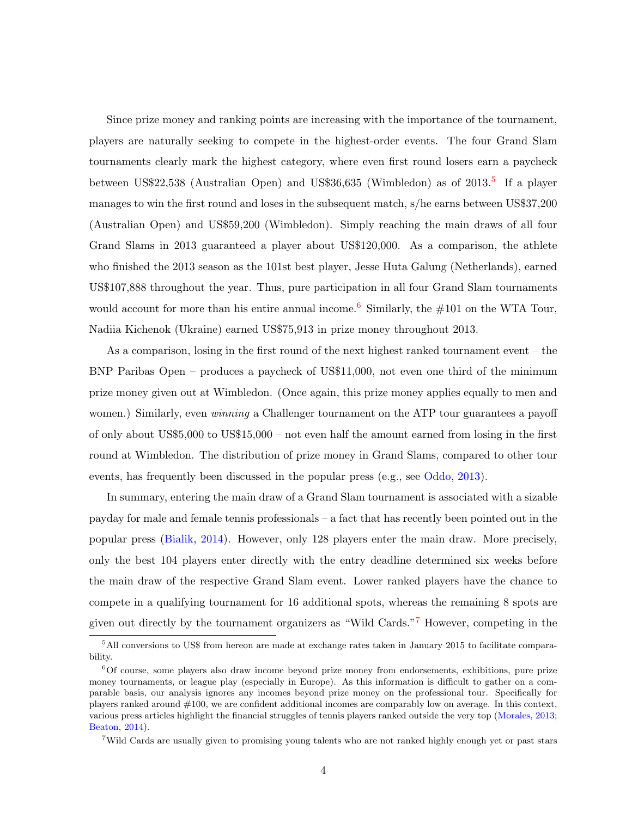Since prize money and ranking points are increasing with the importance of the tournament, players are naturally seeking to compete in the highest-order events. The four Grand Slam tournaments clearly mark the highest category, where even first round losers earn a paycheck between US\$22,[5](#page-6-0)38 (Australian Open) and US\$36,635 (Wimbledon) as of 2013.<sup>5</sup> If a player manages to win the first round and loses in the subsequent match, s/he earns between US\$37,200 (Australian Open) and US\$59,200 (Wimbledon). Simply reaching the main draws of all four Grand Slams in 2013 guaranteed a player about US\$120,000. As a comparison, the athlete who finished the 2013 season as the 101st best player, Jesse Huta Galung (Netherlands), earned US\$107,888 throughout the year. Thus, pure participation in all four Grand Slam tournaments would account for more than his entire annual income.<sup>[6](#page-6-1)</sup> Similarly, the  $\#101$  on the WTA Tour, Nadiia Kichenok (Ukraine) earned US\$75,913 in prize money throughout 2013.

As a comparison, losing in the first round of the next highest ranked tournament event – the BNP Paribas Open – produces a paycheck of US\$11,000, not even one third of the minimum prize money given out at Wimbledon. (Once again, this prize money applies equally to men and women.) Similarly, even *winning* a Challenger tournament on the ATP tour guarantees a payoff of only about US\$5,000 to US\$15,000 – not even half the amount earned from losing in the first round at Wimbledon. The distribution of prize money in Grand Slams, compared to other tour events, has frequently been discussed in the popular press (e.g., see [Oddo,](#page-32-5) [2013\)](#page-32-5).

In summary, entering the main draw of a Grand Slam tournament is associated with a sizable payday for male and female tennis professionals – a fact that has recently been pointed out in the popular press [\(Bialik,](#page-31-9) [2014\)](#page-31-9). However, only 128 players enter the main draw. More precisely, only the best 104 players enter directly with the entry deadline determined six weeks before the main draw of the respective Grand Slam event. Lower ranked players have the chance to compete in a qualifying tournament for 16 additional spots, whereas the remaining 8 spots are given out directly by the tournament organizers as "Wild Cards."[7](#page-6-2) However, competing in the

<span id="page-6-0"></span><sup>5</sup>All conversions to US\$ from hereon are made at exchange rates taken in January 2015 to facilitate comparability.

<span id="page-6-1"></span> $60f$  course, some players also draw income beyond prize money from endorsements, exhibitions, pure prize money tournaments, or league play (especially in Europe). As this information is difficult to gather on a comparable basis, our analysis ignores any incomes beyond prize money on the professional tour. Specifically for players ranked around #100, we are confident additional incomes are comparably low on average. In this context, various press articles highlight the financial struggles of tennis players ranked outside the very top [\(Morales,](#page-31-10) [2013;](#page-31-10) [Beaton,](#page-31-11) [2014\)](#page-31-11).

<span id="page-6-2"></span><sup>7</sup>Wild Cards are usually given to promising young talents who are not ranked highly enough yet or past stars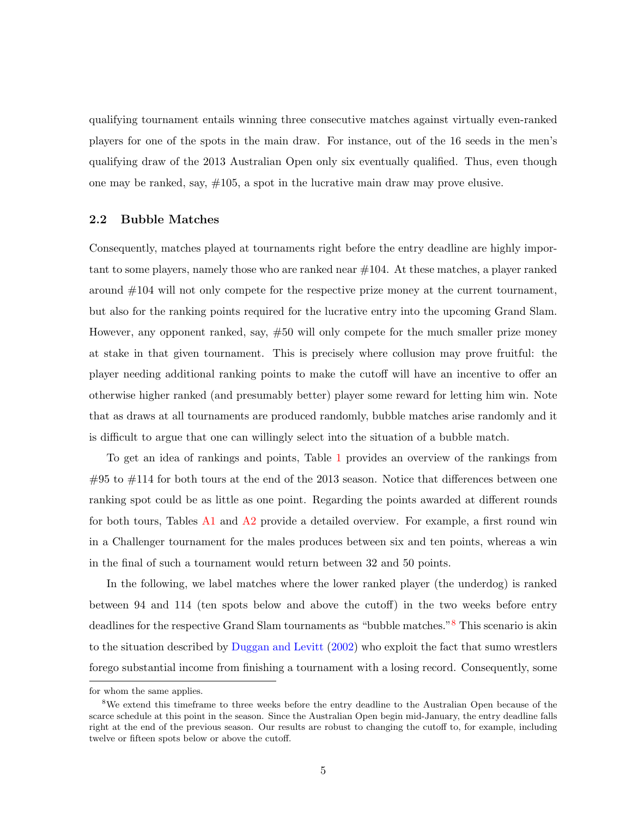qualifying tournament entails winning three consecutive matches against virtually even-ranked players for one of the spots in the main draw. For instance, out of the 16 seeds in the men's qualifying draw of the 2013 Australian Open only six eventually qualified. Thus, even though one may be ranked, say,  $\#105$ , a spot in the lucrative main draw may prove elusive.

#### 2.2 Bubble Matches

Consequently, matches played at tournaments right before the entry deadline are highly important to some players, namely those who are ranked near  $\#104$ . At these matches, a player ranked around #104 will not only compete for the respective prize money at the current tournament, but also for the ranking points required for the lucrative entry into the upcoming Grand Slam. However, any opponent ranked, say, #50 will only compete for the much smaller prize money at stake in that given tournament. This is precisely where collusion may prove fruitful: the player needing additional ranking points to make the cutoff will have an incentive to offer an otherwise higher ranked (and presumably better) player some reward for letting him win. Note that as draws at all tournaments are produced randomly, bubble matches arise randomly and it is difficult to argue that one can willingly select into the situation of a bubble match.

To get an idea of rankings and points, Table [1](#page-9-0) provides an overview of the rankings from  $\#95$  to  $\#114$  for both tours at the end of the 2013 season. Notice that differences between one ranking spot could be as little as one point. Regarding the points awarded at different rounds for both tours, Tables [A1](#page-33-0) and [A2](#page-34-0) provide a detailed overview. For example, a first round win in a Challenger tournament for the males produces between six and ten points, whereas a win in the final of such a tournament would return between 32 and 50 points.

In the following, we label matches where the lower ranked player (the underdog) is ranked between 94 and 114 (ten spots below and above the cutoff) in the two weeks before entry deadlines for the respective Grand Slam tournaments as "bubble matches."[8](#page-7-0) This scenario is akin to the situation described by [Duggan and Levitt](#page-31-4) [\(2002\)](#page-31-4) who exploit the fact that sumo wrestlers forego substantial income from finishing a tournament with a losing record. Consequently, some

for whom the same applies.

<span id="page-7-0"></span><sup>8</sup>We extend this timeframe to three weeks before the entry deadline to the Australian Open because of the scarce schedule at this point in the season. Since the Australian Open begin mid-January, the entry deadline falls right at the end of the previous season. Our results are robust to changing the cutoff to, for example, including twelve or fifteen spots below or above the cutoff.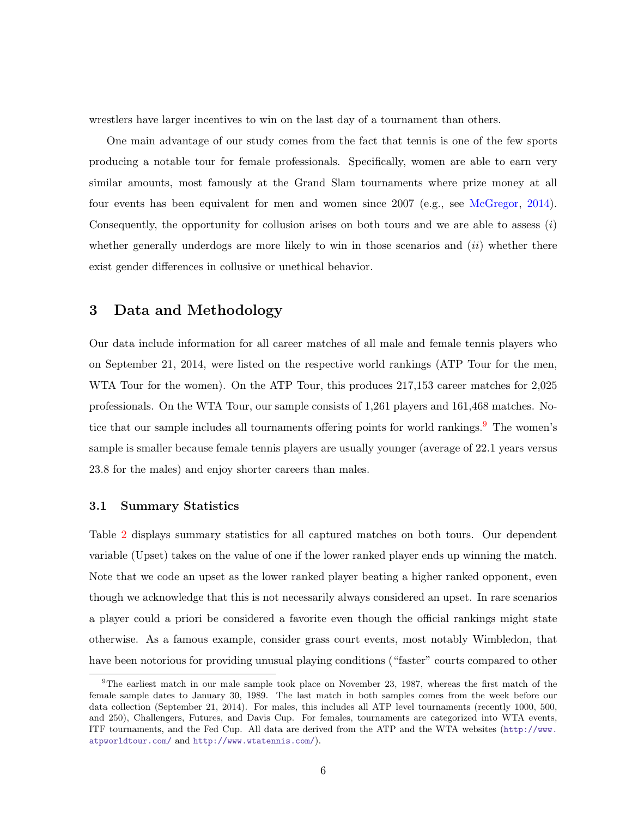wrestlers have larger incentives to win on the last day of a tournament than others.

One main advantage of our study comes from the fact that tennis is one of the few sports producing a notable tour for female professionals. Specifically, women are able to earn very similar amounts, most famously at the Grand Slam tournaments where prize money at all four events has been equivalent for men and women since 2007 (e.g., see [McGregor,](#page-31-12) [2014\)](#page-31-12). Consequently, the opportunity for collusion arises on both tours and we are able to assess  $(i)$ whether generally underdogs are more likely to win in those scenarios and  $(ii)$  whether there exist gender differences in collusive or unethical behavior.

#### <span id="page-8-0"></span>3 Data and Methodology

Our data include information for all career matches of all male and female tennis players who on September 21, 2014, were listed on the respective world rankings (ATP Tour for the men, WTA Tour for the women). On the ATP Tour, this produces 217,153 career matches for 2,025 professionals. On the WTA Tour, our sample consists of 1,261 players and 161,468 matches. Notice that our sample includes all tournaments offering points for world rankings.  $9$  The women's sample is smaller because female tennis players are usually younger (average of 22.1 years versus 23.8 for the males) and enjoy shorter careers than males.

#### 3.1 Summary Statistics

Table [2](#page-10-0) displays summary statistics for all captured matches on both tours. Our dependent variable (Upset) takes on the value of one if the lower ranked player ends up winning the match. Note that we code an upset as the lower ranked player beating a higher ranked opponent, even though we acknowledge that this is not necessarily always considered an upset. In rare scenarios a player could a priori be considered a favorite even though the official rankings might state otherwise. As a famous example, consider grass court events, most notably Wimbledon, that have been notorious for providing unusual playing conditions ("faster" courts compared to other

<span id="page-8-1"></span><sup>9</sup>The earliest match in our male sample took place on November 23, 1987, whereas the first match of the female sample dates to January 30, 1989. The last match in both samples comes from the week before our data collection (September 21, 2014). For males, this includes all ATP level tournaments (recently 1000, 500, and 250), Challengers, Futures, and Davis Cup. For females, tournaments are categorized into WTA events, ITF tournaments, and the Fed Cup. All data are derived from the ATP and the WTA websites ([http://www.](http://www.atpworldtour.com/) [atpworldtour.com/](http://www.atpworldtour.com/) and <http://www.wtatennis.com/>).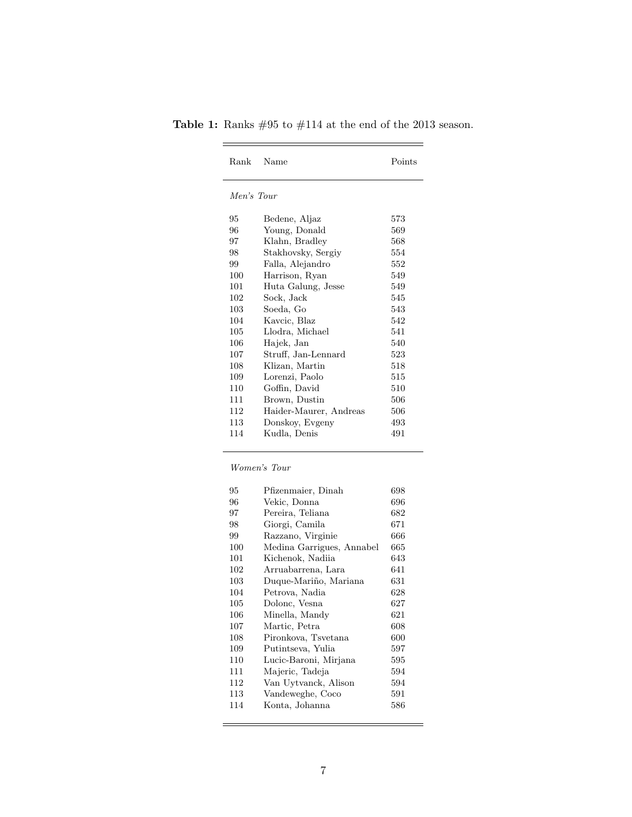| Rank       | Name                   | Points |
|------------|------------------------|--------|
| Men's Tour |                        |        |
| 95         | Bedene, Aljaz          | 573    |
| 96         | Young, Donald          | 569    |
| 97         | Klahn, Bradley         | 568    |
| 98         | Stakhovsky, Sergiy     | 554    |
| 99         | Falla, Alejandro       | 552    |
| 100        | Harrison, Ryan         | 549    |
| 101        | Huta Galung, Jesse     | 549    |
| 102        | Sock, Jack             | 545    |
| 103        | Soeda, Go              | 543    |
| 104        | Kavcic, Blaz           | 542    |
| 105        | Llodra, Michael        | 541    |
| 106        | Hajek, Jan             | 540    |
| 107        | Struff, Jan-Lennard    | 523    |
| 108        | Klizan, Martin         | 518    |
| 109        | Lorenzi, Paolo         | 515    |
| 110        | Goffin, David          | 510    |
| 111        | Brown, Dustin          | 506    |
| 112        | Haider-Maurer, Andreas | 506    |
| 113        | Donskoy, Evgeny        | 493    |
| 114        | Kudla, Denis           | 491    |

<span id="page-9-0"></span>Table 1: Ranks  $\#95$  to  $\#114$  at the end of the 2013 season. 

#### Women's Tour

| 95  | Pfizenmaier, Dinah        | 698 |
|-----|---------------------------|-----|
| 96  | Vekic, Donna              | 696 |
| 97  | Pereira, Teliana          | 682 |
| 98  | Giorgi, Camila            | 671 |
| 99  | Razzano, Virginie         | 666 |
| 100 | Medina Garrigues, Annabel | 665 |
| 101 | Kichenok, Nadiia          | 643 |
| 102 | Arruabarrena, Lara        | 641 |
| 103 | Duque-Mariño, Mariana     | 631 |
| 104 | Petrova, Nadia            | 628 |
| 105 | Dolonc, Vesna             | 627 |
| 106 | Minella, Mandy            | 621 |
| 107 | Martic, Petra             | 608 |
| 108 | Pironkova, Tsvetana       | 600 |
| 109 | Putintseva, Yulia         | 597 |
| 110 | Lucic-Baroni, Mirjana     | 595 |
| 111 | Majeric, Tadeja           | 594 |
| 112 | Van Uytvanck, Alison      | 594 |
| 113 | Vandeweghe, Coco          | 591 |
| 114 | Konta, Johanna            | 586 |
|     |                           |     |

<u> 1989 - Johann Barnett, fransk politiker (d. 1989)</u>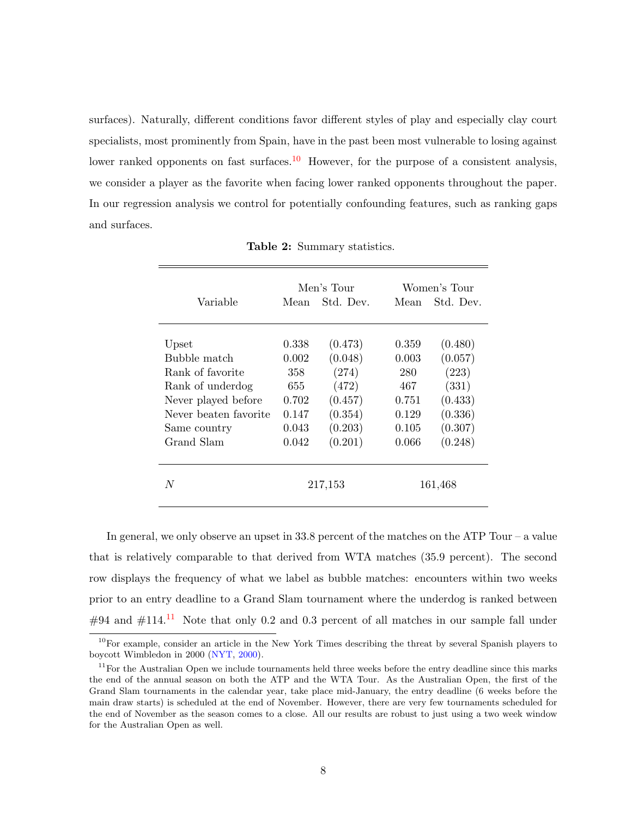surfaces). Naturally, different conditions favor different styles of play and especially clay court specialists, most prominently from Spain, have in the past been most vulnerable to losing against lower ranked opponents on fast surfaces.<sup>[10](#page-10-1)</sup> However, for the purpose of a consistent analysis, we consider a player as the favorite when facing lower ranked opponents throughout the paper. In our regression analysis we control for potentially confounding features, such as ranking gaps and surfaces.

<span id="page-10-0"></span>

|                       |         | Men's Tour | Women's Tour |           |  |
|-----------------------|---------|------------|--------------|-----------|--|
| Variable              | Mean    | Std. Dev.  | Mean         | Std. Dev. |  |
|                       |         |            |              |           |  |
| Upset                 | 0.338   | (0.473)    | 0.359        | (0.480)   |  |
| Bubble match          | 0.002   | (0.048)    | 0.003        | (0.057)   |  |
| Rank of favorite      | 358     | (274)      | 280          | (223)     |  |
| Rank of underdog      | 655     | (472)      | 467          | (331)     |  |
| Never played before   | 0.702   | (0.457)    | 0.751        | (0.433)   |  |
| Never beaten favorite | 0.147   | (0.354)    | 0.129        | (0.336)   |  |
| Same country          | 0.043   | (0.203)    | 0.105        | (0.307)   |  |
| Grand Slam            | 0.042   | (0.201)    | 0.066        | (0.248)   |  |
|                       |         |            |              |           |  |
| N                     | 217,153 |            | 161,468      |           |  |

Table 2: Summary statistics.

In general, we only observe an upset in 33.8 percent of the matches on the ATP Tour – a value that is relatively comparable to that derived from WTA matches (35.9 percent). The second row displays the frequency of what we label as bubble matches: encounters within two weeks prior to an entry deadline to a Grand Slam tournament where the underdog is ranked between  $\#94$  and  $\#114$  $\#114$  $\#114$ .<sup>11</sup> Note that only 0.2 and 0.3 percent of all matches in our sample fall under

<span id="page-10-1"></span> $10$ For example, consider an article in the New York Times describing the threat by several Spanish players to boycott Wimbledon in 2000 [\(NYT,](#page-32-6) [2000\)](#page-32-6).

<span id="page-10-2"></span> $11$  For the Australian Open we include tournaments held three weeks before the entry deadline since this marks the end of the annual season on both the ATP and the WTA Tour. As the Australian Open, the first of the Grand Slam tournaments in the calendar year, take place mid-January, the entry deadline (6 weeks before the main draw starts) is scheduled at the end of November. However, there are very few tournaments scheduled for the end of November as the season comes to a close. All our results are robust to just using a two week window for the Australian Open as well.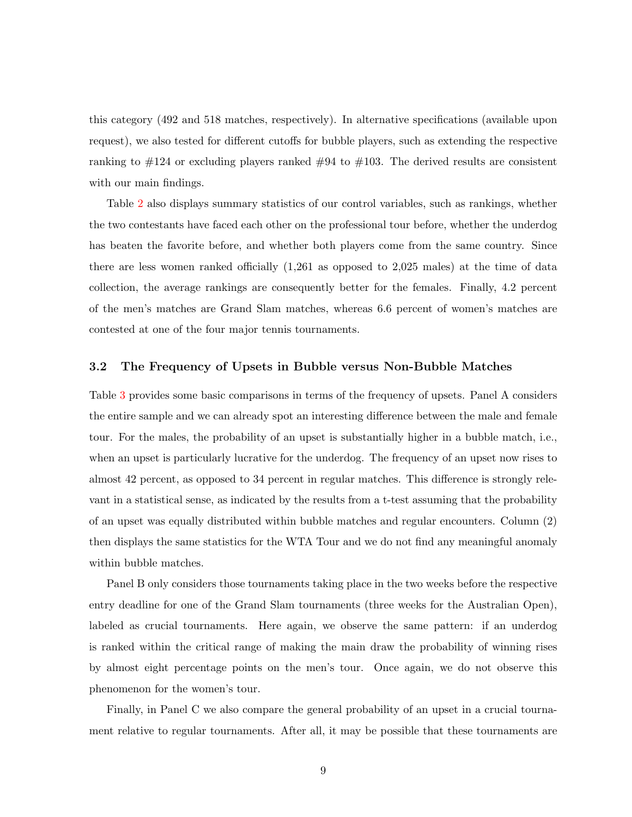this category (492 and 518 matches, respectively). In alternative specifications (available upon request), we also tested for different cutoffs for bubble players, such as extending the respective ranking to  $\#124$  or excluding players ranked  $\#94$  to  $\#103$ . The derived results are consistent with our main findings.

Table [2](#page-10-0) also displays summary statistics of our control variables, such as rankings, whether the two contestants have faced each other on the professional tour before, whether the underdog has beaten the favorite before, and whether both players come from the same country. Since there are less women ranked officially (1,261 as opposed to 2,025 males) at the time of data collection, the average rankings are consequently better for the females. Finally, 4.2 percent of the men's matches are Grand Slam matches, whereas 6.6 percent of women's matches are contested at one of the four major tennis tournaments.

#### 3.2 The Frequency of Upsets in Bubble versus Non-Bubble Matches

Table [3](#page-12-0) provides some basic comparisons in terms of the frequency of upsets. Panel A considers the entire sample and we can already spot an interesting difference between the male and female tour. For the males, the probability of an upset is substantially higher in a bubble match, i.e., when an upset is particularly lucrative for the underdog. The frequency of an upset now rises to almost 42 percent, as opposed to 34 percent in regular matches. This difference is strongly relevant in a statistical sense, as indicated by the results from a t-test assuming that the probability of an upset was equally distributed within bubble matches and regular encounters. Column (2) then displays the same statistics for the WTA Tour and we do not find any meaningful anomaly within bubble matches.

Panel B only considers those tournaments taking place in the two weeks before the respective entry deadline for one of the Grand Slam tournaments (three weeks for the Australian Open), labeled as crucial tournaments. Here again, we observe the same pattern: if an underdog is ranked within the critical range of making the main draw the probability of winning rises by almost eight percentage points on the men's tour. Once again, we do not observe this phenomenon for the women's tour.

Finally, in Panel C we also compare the general probability of an upset in a crucial tournament relative to regular tournaments. After all, it may be possible that these tournaments are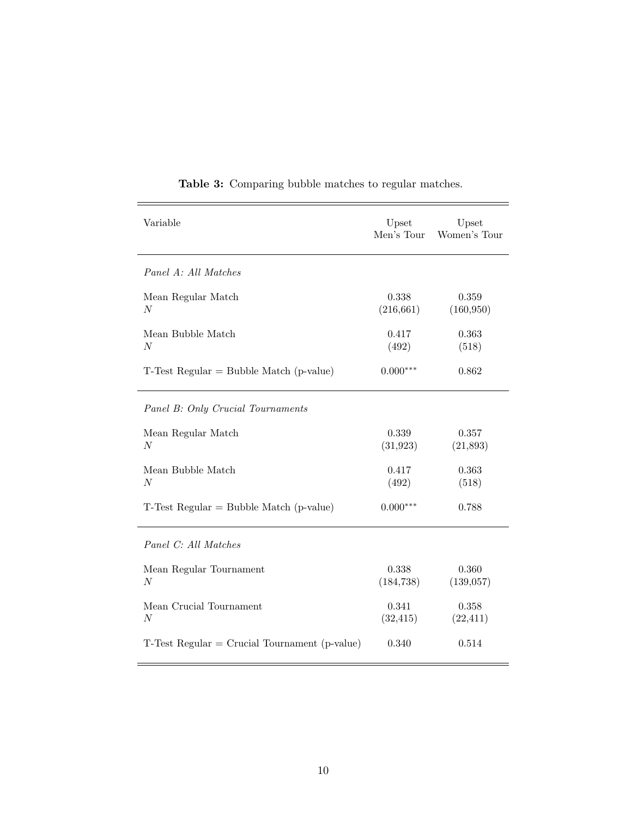<span id="page-12-0"></span>

| Variable                                         | Upset<br>Men's Tour | Upset<br>Women's Tour |
|--------------------------------------------------|---------------------|-----------------------|
| Panel A: All Matches                             |                     |                       |
| Mean Regular Match<br>N                          | 0.338<br>(216, 661) | 0.359<br>(160, 950)   |
| Mean Bubble Match<br>$\boldsymbol{N}$            | 0.417<br>(492)      | 0.363<br>(518)        |
| $T$ -Test Regular = Bubble Match (p-value)       | $0.000***$          | 0.862                 |
| Panel B: Only Crucial Tournaments                |                     |                       |
| Mean Regular Match<br>N                          | 0.339<br>(31, 923)  | 0.357<br>(21,893)     |
| Mean Bubble Match<br>$\boldsymbol{N}$            | 0.417<br>(492)      | 0.363<br>(518)        |
| $T$ -Test Regular = Bubble Match (p-value)       | $0.000***$          | 0.788                 |
| Panel C: All Matches                             |                     |                       |
| Mean Regular Tournament<br>$\boldsymbol{N}$      | 0.338<br>(184, 738) | 0.360<br>(139, 057)   |
| Mean Crucial Tournament<br>$\boldsymbol{N}$      | 0.341<br>(32, 415)  | 0.358<br>(22, 411)    |
| $T$ -Test Regular = Crucial Tournament (p-value) | 0.340               | 0.514                 |

Table 3: Comparing bubble matches to regular matches.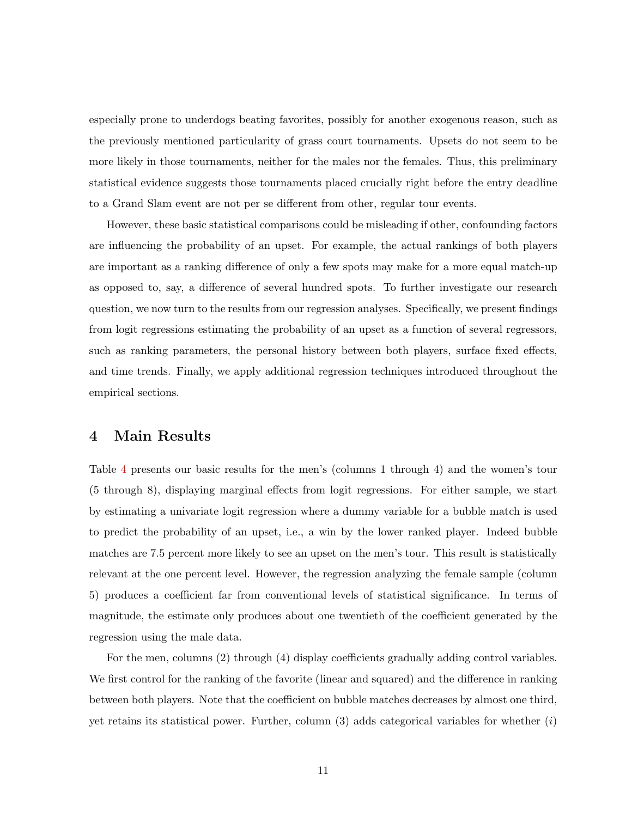especially prone to underdogs beating favorites, possibly for another exogenous reason, such as the previously mentioned particularity of grass court tournaments. Upsets do not seem to be more likely in those tournaments, neither for the males nor the females. Thus, this preliminary statistical evidence suggests those tournaments placed crucially right before the entry deadline to a Grand Slam event are not per se different from other, regular tour events.

However, these basic statistical comparisons could be misleading if other, confounding factors are influencing the probability of an upset. For example, the actual rankings of both players are important as a ranking difference of only a few spots may make for a more equal match-up as opposed to, say, a difference of several hundred spots. To further investigate our research question, we now turn to the results from our regression analyses. Specifically, we present findings from logit regressions estimating the probability of an upset as a function of several regressors, such as ranking parameters, the personal history between both players, surface fixed effects, and time trends. Finally, we apply additional regression techniques introduced throughout the empirical sections.

#### <span id="page-13-0"></span>4 Main Results

Table [4](#page-14-0) presents our basic results for the men's (columns 1 through 4) and the women's tour (5 through 8), displaying marginal effects from logit regressions. For either sample, we start by estimating a univariate logit regression where a dummy variable for a bubble match is used to predict the probability of an upset, i.e., a win by the lower ranked player. Indeed bubble matches are 7.5 percent more likely to see an upset on the men's tour. This result is statistically relevant at the one percent level. However, the regression analyzing the female sample (column 5) produces a coefficient far from conventional levels of statistical significance. In terms of magnitude, the estimate only produces about one twentieth of the coefficient generated by the regression using the male data.

For the men, columns (2) through (4) display coefficients gradually adding control variables. We first control for the ranking of the favorite (linear and squared) and the difference in ranking between both players. Note that the coefficient on bubble matches decreases by almost one third, yet retains its statistical power. Further, column  $(3)$  adds categorical variables for whether  $(i)$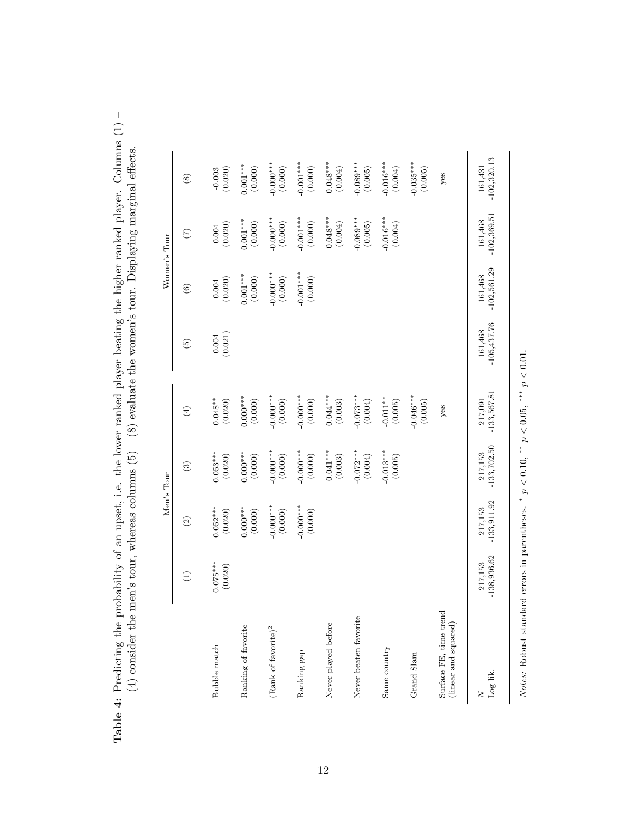|                                                |                          |                          | Men's Tour               |                               |                                                 |                          | Women's Tour             |                          |
|------------------------------------------------|--------------------------|--------------------------|--------------------------|-------------------------------|-------------------------------------------------|--------------------------|--------------------------|--------------------------|
|                                                | $\bigoplus$              | $\widehat{c}$            | $\odot$                  | $\bigoplus$                   | $\widetilde{\omega}$                            | $\odot$                  | $\widehat{C}$            | $\circledS$              |
| Bubble match                                   | $0.075***$<br>(0.020)    | $0.052***$<br>(0.020)    | $0.053***$<br>(0.020)    | $0.048^{\ast\ast}$<br>(0.020) | $\begin{array}{c} 0.004 \\ (0.021) \end{array}$ | $(0.004$<br>$(0.020)$    | $(0.004$<br>$(0.020)$    | $-0.003$<br>(0.020)      |
| Ranking of favorite                            |                          | $0.000***$<br>(0.000)    | $0.000***$<br>(0.000)    | $0.000***$<br>(0.000)         |                                                 | $0.001***$<br>(0.000)    | $0.001***$<br>$(0.000)$  | $0.001***$<br>(0.000)    |
| (Rank of favorite) $^2$                        |                          | $-0.000***$<br>(0.000)   | $-0.000**$<br>(0.000)    | $-0.000$ ***<br>(0.000)       |                                                 | $-0.000***$<br>(0.000)   | $-0.000***$<br>(0.000)   | $-0.000***$<br>(0.000)   |
| Ranking gap                                    |                          | $-0.000***$<br>(0.000)   | $-0.000***$<br>(0.000)   | $-0.000***$<br>(0.000)        |                                                 | $-0.001***$<br>(0.000)   | $-0.001***$<br>(0.000)   | $-0.001***$<br>(0.000)   |
| Never played before                            |                          |                          | $-0.041***$<br>(0.003)   | $-0.044***$<br>(0.003)        |                                                 |                          | $-0.048***$<br>(0.004)   | $-0.048***$<br>(0.004)   |
| Never beaten favorite                          |                          |                          | $-0.072***$<br>(0.004)   | $-0.073***$<br>(0.004)        |                                                 |                          | $-0.089***$<br>(0.005)   | $-0.089***$<br>(0.005)   |
| Same country                                   |                          |                          | $-0.013***$<br>(0.005)   | $-0.011**$<br>(0.005)         |                                                 |                          | $-0.016***$<br>(0.004)   | $-0.016***$<br>(0.004)   |
| Grand Slam                                     |                          |                          |                          | $-0.046***$<br>(0.005)        |                                                 |                          |                          | $-0.035***$<br>(0.005)   |
| Surface FE, time trend<br>(linear and squared) |                          |                          |                          | yes                           |                                                 |                          |                          | yes                      |
| Log lik.<br>$\geq$                             | $-138,936.62$<br>217,153 | $-133,911.92$<br>217,153 | $-133,702.50$<br>217,153 | $-133,567.81$<br>217,091      | $-105,437.76$<br>161,468                        | $-102,561.29$<br>161,468 | $-102,369.51$<br>161,468 | $-102,320.13$<br>161,431 |

<span id="page-14-0"></span>Table 4: Predicting the probability of an upset, i.e. the lower ranked player beating the higher ranked player. Columns (1) -Table 4: Predicting the probability of an upset, i.e. the lower ranked player beating the higher ranked player. Columns (1) –  $(4)$  consider the men's tour, whereas columns  $(5) - (8)$  evaluate the women's tour. Displaying marginal effects. (4) consider the men's tour, whereas columns  $(5) - (8)$  evaluate the women's tour. Displaying marginal effects.

Notes: Robust standard errors in parentheses. \*  $p<0.10,$  \*\*  $p<0.05,$  \*\*\*  $p<0.01.$ Notes: Robust standard errors in parentheses. \*  $p < 0.10$ , \*  $p < 0.05$ , \*  $*$   $p < 0.01$ .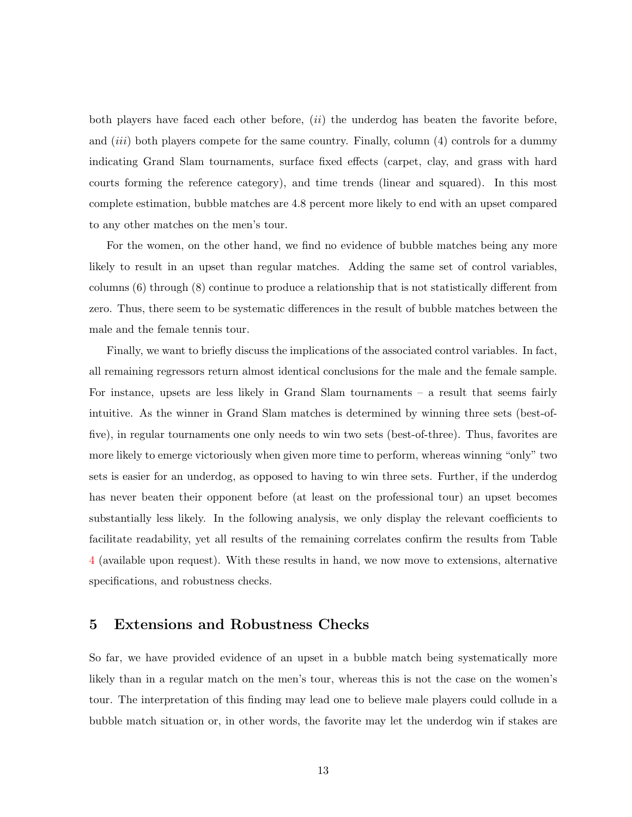both players have faced each other before,  $(ii)$  the underdog has beaten the favorite before, and  $(iii)$  both players compete for the same country. Finally, column  $(4)$  controls for a dummy indicating Grand Slam tournaments, surface fixed effects (carpet, clay, and grass with hard courts forming the reference category), and time trends (linear and squared). In this most complete estimation, bubble matches are 4.8 percent more likely to end with an upset compared to any other matches on the men's tour.

For the women, on the other hand, we find no evidence of bubble matches being any more likely to result in an upset than regular matches. Adding the same set of control variables, columns (6) through (8) continue to produce a relationship that is not statistically different from zero. Thus, there seem to be systematic differences in the result of bubble matches between the male and the female tennis tour.

Finally, we want to briefly discuss the implications of the associated control variables. In fact, all remaining regressors return almost identical conclusions for the male and the female sample. For instance, upsets are less likely in Grand Slam tournaments – a result that seems fairly intuitive. As the winner in Grand Slam matches is determined by winning three sets (best-offive), in regular tournaments one only needs to win two sets (best-of-three). Thus, favorites are more likely to emerge victoriously when given more time to perform, whereas winning "only" two sets is easier for an underdog, as opposed to having to win three sets. Further, if the underdog has never beaten their opponent before (at least on the professional tour) an upset becomes substantially less likely. In the following analysis, we only display the relevant coefficients to facilitate readability, yet all results of the remaining correlates confirm the results from Table [4](#page-14-0) (available upon request). With these results in hand, we now move to extensions, alternative specifications, and robustness checks.

#### <span id="page-15-0"></span>5 Extensions and Robustness Checks

So far, we have provided evidence of an upset in a bubble match being systematically more likely than in a regular match on the men's tour, whereas this is not the case on the women's tour. The interpretation of this finding may lead one to believe male players could collude in a bubble match situation or, in other words, the favorite may let the underdog win if stakes are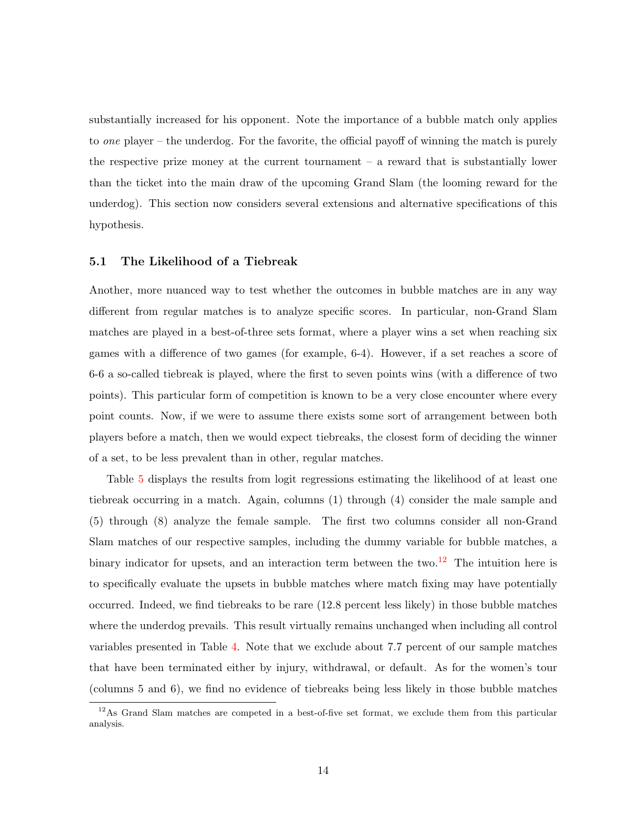substantially increased for his opponent. Note the importance of a bubble match only applies to one player – the underdog. For the favorite, the official payoff of winning the match is purely the respective prize money at the current tournament  $-$  a reward that is substantially lower than the ticket into the main draw of the upcoming Grand Slam (the looming reward for the underdog). This section now considers several extensions and alternative specifications of this hypothesis.

#### 5.1 The Likelihood of a Tiebreak

Another, more nuanced way to test whether the outcomes in bubble matches are in any way different from regular matches is to analyze specific scores. In particular, non-Grand Slam matches are played in a best-of-three sets format, where a player wins a set when reaching six games with a difference of two games (for example, 6-4). However, if a set reaches a score of 6-6 a so-called tiebreak is played, where the first to seven points wins (with a difference of two points). This particular form of competition is known to be a very close encounter where every point counts. Now, if we were to assume there exists some sort of arrangement between both players before a match, then we would expect tiebreaks, the closest form of deciding the winner of a set, to be less prevalent than in other, regular matches.

Table [5](#page-18-0) displays the results from logit regressions estimating the likelihood of at least one tiebreak occurring in a match. Again, columns (1) through (4) consider the male sample and (5) through (8) analyze the female sample. The first two columns consider all non-Grand Slam matches of our respective samples, including the dummy variable for bubble matches, a binary indicator for upsets, and an interaction term between the two.<sup>[12](#page-16-0)</sup> The intuition here is to specifically evaluate the upsets in bubble matches where match fixing may have potentially occurred. Indeed, we find tiebreaks to be rare (12.8 percent less likely) in those bubble matches where the underdog prevails. This result virtually remains unchanged when including all control variables presented in Table [4.](#page-14-0) Note that we exclude about 7.7 percent of our sample matches that have been terminated either by injury, withdrawal, or default. As for the women's tour (columns 5 and 6), we find no evidence of tiebreaks being less likely in those bubble matches

<span id="page-16-0"></span><sup>&</sup>lt;sup>12</sup>As Grand Slam matches are competed in a best-of-five set format, we exclude them from this particular analysis.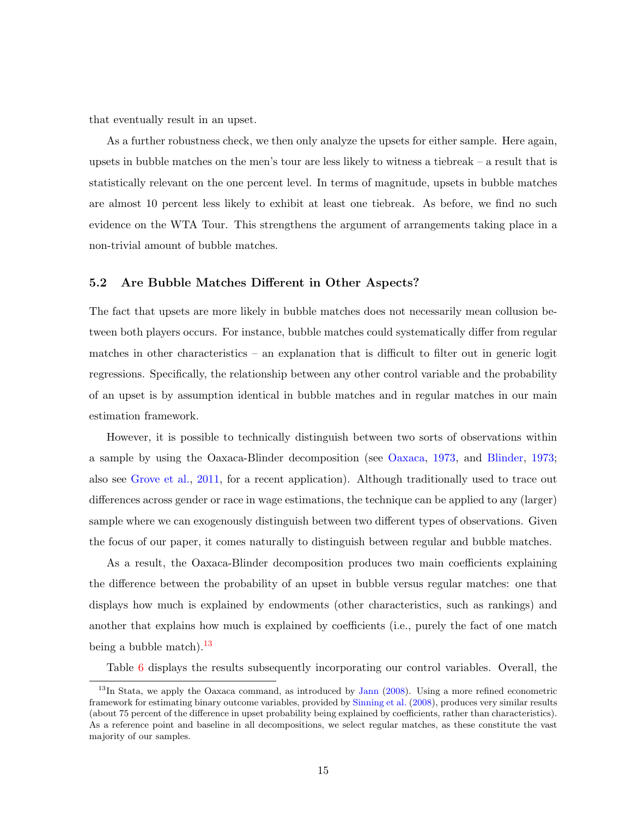that eventually result in an upset.

As a further robustness check, we then only analyze the upsets for either sample. Here again, upsets in bubble matches on the men's tour are less likely to witness a tiebreak – a result that is statistically relevant on the one percent level. In terms of magnitude, upsets in bubble matches are almost 10 percent less likely to exhibit at least one tiebreak. As before, we find no such evidence on the WTA Tour. This strengthens the argument of arrangements taking place in a non-trivial amount of bubble matches.

#### 5.2 Are Bubble Matches Different in Other Aspects?

The fact that upsets are more likely in bubble matches does not necessarily mean collusion between both players occurs. For instance, bubble matches could systematically differ from regular matches in other characteristics – an explanation that is difficult to filter out in generic logit regressions. Specifically, the relationship between any other control variable and the probability of an upset is by assumption identical in bubble matches and in regular matches in our main estimation framework.

However, it is possible to technically distinguish between two sorts of observations within a sample by using the Oaxaca-Blinder decomposition (see [Oaxaca,](#page-32-7) [1973,](#page-32-7) and [Blinder,](#page-31-13) [1973;](#page-31-13) also see [Grove et al.,](#page-31-5) [2011,](#page-31-5) for a recent application). Although traditionally used to trace out differences across gender or race in wage estimations, the technique can be applied to any (larger) sample where we can exogenously distinguish between two different types of observations. Given the focus of our paper, it comes naturally to distinguish between regular and bubble matches.

As a result, the Oaxaca-Blinder decomposition produces two main coefficients explaining the difference between the probability of an upset in bubble versus regular matches: one that displays how much is explained by endowments (other characteristics, such as rankings) and another that explains how much is explained by coefficients (i.e., purely the fact of one match being a bubble match). $^{13}$  $^{13}$  $^{13}$ 

Table [6](#page-20-0) displays the results subsequently incorporating our control variables. Overall, the

<span id="page-17-0"></span> $13$ In Stata, we apply the Oaxaca command, as introduced by [Jann](#page-31-14) [\(2008\)](#page-31-14). Using a more refined econometric framework for estimating binary outcome variables, provided by [Sinning et al.](#page-32-8) [\(2008\)](#page-32-8), produces very similar results (about 75 percent of the difference in upset probability being explained by coefficients, rather than characteristics). As a reference point and baseline in all decompositions, we select regular matches, as these constitute the vast majority of our samples.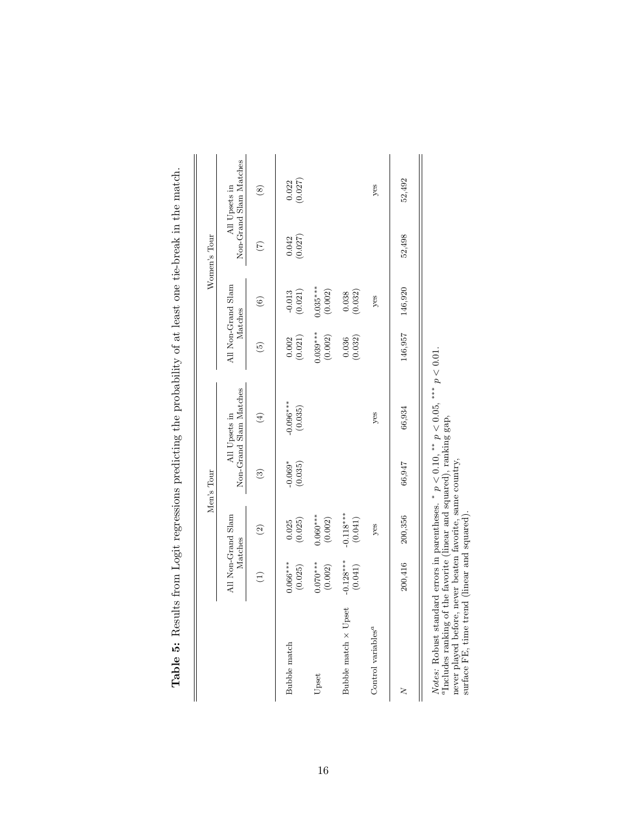|                                                                                                                                                                                                                                                                                           |                        |                               | Men's Tour           |                                         |                                                 |                        | Women's Tour    |                                         |
|-------------------------------------------------------------------------------------------------------------------------------------------------------------------------------------------------------------------------------------------------------------------------------------------|------------------------|-------------------------------|----------------------|-----------------------------------------|-------------------------------------------------|------------------------|-----------------|-----------------------------------------|
|                                                                                                                                                                                                                                                                                           |                        | All Non-Grand Slam<br>Matches |                      | Non-Grand Slam Matches<br>All Upsets in | Matches                                         | All Non-Grand Slam     |                 | Non-Grand Slam Matches<br>All Upsets in |
|                                                                                                                                                                                                                                                                                           | $\widehat{\Xi}$        | $\widehat{\mathfrak{D}}$      | $\odot$              | $\bigoplus$                             | $\widehat{5}$                                   | $\widehat{\circ}$      | $\widetilde{C}$ | $\circledast$                           |
| Bubble match                                                                                                                                                                                                                                                                              | $0.066***$<br>(0.025)  | (0.025)                       | $-0.069*$<br>(0.035) | $-0.096***$<br>(0.035)                  | $\begin{array}{c} 0.002 \\ (0.021) \end{array}$ | $-0.013$<br>(0.021)    | (0.042)         | (0.027)                                 |
| Upset                                                                                                                                                                                                                                                                                     | $0.070***$<br>(0.002)  | $0.060***$<br>(0.002)         |                      |                                         | $0.039***$<br>(0.002)                           | $0.035***$<br>(0.002)  |                 |                                         |
| Bubble match × Upset                                                                                                                                                                                                                                                                      | $-0.128***$<br>(0.041) | $-0.118***$<br>(0.041)        |                      |                                         | $\begin{array}{c} 0.036 \\ (0.032) \end{array}$ | $\binom{0.038}{0.032}$ |                 |                                         |
| Control variables <sup>a</sup>                                                                                                                                                                                                                                                            |                        | yes                           |                      | yes                                     |                                                 | yes                    |                 | yes                                     |
| ζ                                                                                                                                                                                                                                                                                         | 200,416                | 200,356                       | 66,947               | 66,934                                  | 146,957                                         | 146,920                | 52,498          | 52,492                                  |
| <i>Notes:</i> Robust standard errors in parentheses. * $p < 0.10$ , ** $p < 0.05$ , *** $p < 0.01$ .<br>"Includes ranking of the favorite (linear and squared), ranking gap,<br>never played before, never beaten favorite, same country,<br>surface FE, time trend (linear and squared). |                        |                               |                      |                                         |                                                 |                        |                 |                                         |

<span id="page-18-0"></span>

|                          | ו<br>ו<br>ł                    |
|--------------------------|--------------------------------|
|                          |                                |
|                          |                                |
|                          |                                |
|                          |                                |
|                          |                                |
|                          |                                |
|                          | Ï                              |
|                          | į                              |
|                          | į<br>i                         |
|                          | $\frac{1}{3}$                  |
|                          | j                              |
|                          |                                |
|                          |                                |
|                          |                                |
| ֖֚֚֚֬֝֝֬֝֬֝              | l                              |
|                          |                                |
|                          |                                |
|                          | ا<br>ا                         |
|                          |                                |
|                          | י<br>١                         |
|                          |                                |
|                          |                                |
|                          | i                              |
|                          | 一个 小小 小小小                      |
|                          |                                |
|                          | ١                              |
|                          | ֖֖֚֚֡֝֬֝֬֝֬                    |
|                          | i<br>C<br>)                    |
|                          |                                |
|                          | $\ddot{\phantom{a}}$<br>Ì      |
|                          | ۱                              |
|                          | $\frac{1}{2}$<br>$\frac{1}{2}$ |
|                          |                                |
|                          | ļ<br>j                         |
|                          | 3                              |
| $\overline{\phantom{a}}$ | i                              |
|                          | l<br>;<br>j                    |
|                          | I                              |
|                          |                                |
| E                        | $\frac{1}{2}$                  |
|                          |                                |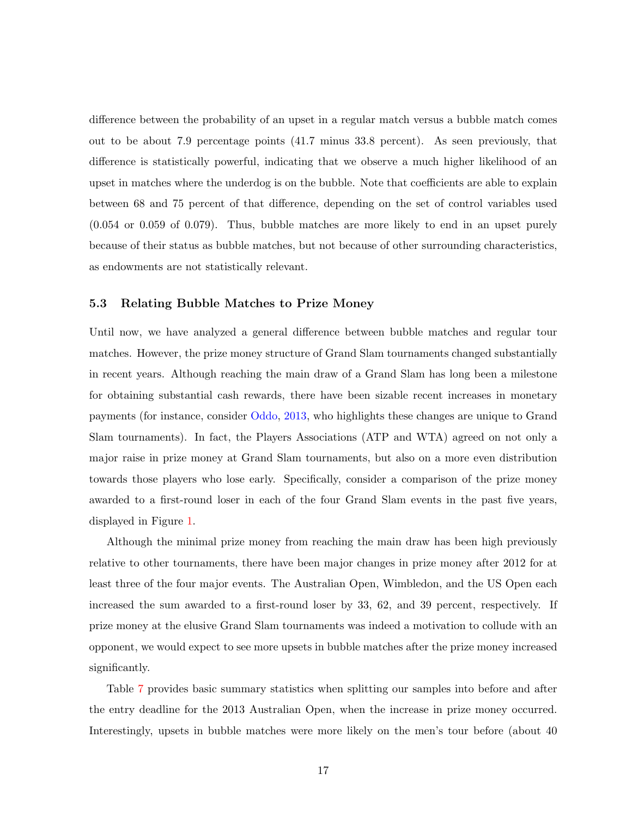difference between the probability of an upset in a regular match versus a bubble match comes out to be about 7.9 percentage points (41.7 minus 33.8 percent). As seen previously, that difference is statistically powerful, indicating that we observe a much higher likelihood of an upset in matches where the underdog is on the bubble. Note that coefficients are able to explain between 68 and 75 percent of that difference, depending on the set of control variables used (0.054 or 0.059 of 0.079). Thus, bubble matches are more likely to end in an upset purely because of their status as bubble matches, but not because of other surrounding characteristics, as endowments are not statistically relevant.

#### 5.3 Relating Bubble Matches to Prize Money

Until now, we have analyzed a general difference between bubble matches and regular tour matches. However, the prize money structure of Grand Slam tournaments changed substantially in recent years. Although reaching the main draw of a Grand Slam has long been a milestone for obtaining substantial cash rewards, there have been sizable recent increases in monetary payments (for instance, consider [Oddo,](#page-32-5) [2013,](#page-32-5) who highlights these changes are unique to Grand Slam tournaments). In fact, the Players Associations (ATP and WTA) agreed on not only a major raise in prize money at Grand Slam tournaments, but also on a more even distribution towards those players who lose early. Specifically, consider a comparison of the prize money awarded to a first-round loser in each of the four Grand Slam events in the past five years, displayed in Figure [1.](#page-21-0)

Although the minimal prize money from reaching the main draw has been high previously relative to other tournaments, there have been major changes in prize money after 2012 for at least three of the four major events. The Australian Open, Wimbledon, and the US Open each increased the sum awarded to a first-round loser by 33, 62, and 39 percent, respectively. If prize money at the elusive Grand Slam tournaments was indeed a motivation to collude with an opponent, we would expect to see more upsets in bubble matches after the prize money increased significantly.

Table [7](#page-22-0) provides basic summary statistics when splitting our samples into before and after the entry deadline for the 2013 Australian Open, when the increase in prize money occurred. Interestingly, upsets in bubble matches were more likely on the men's tour before (about 40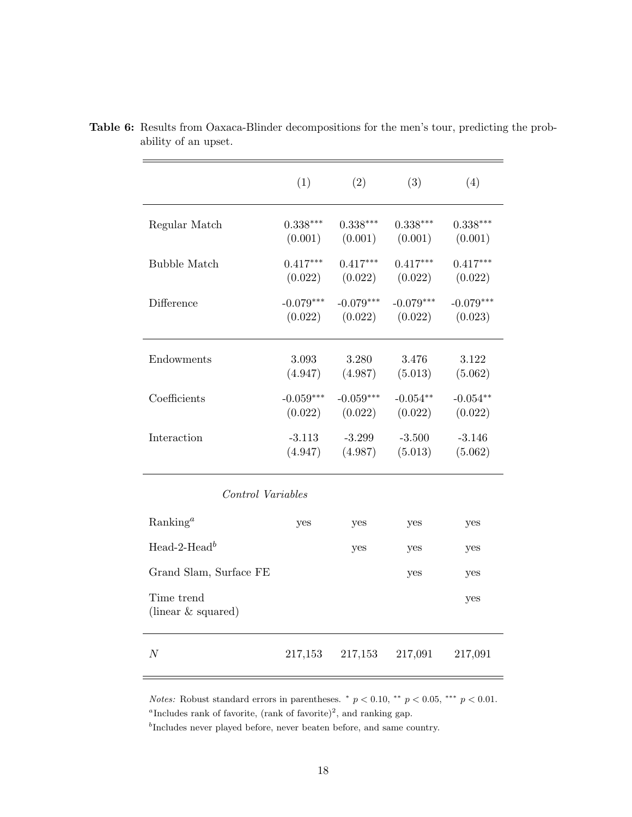|                                  | (1)                    | (2)                    | (3)                    | (4)                    |
|----------------------------------|------------------------|------------------------|------------------------|------------------------|
| Regular Match                    | $0.338***$<br>(0.001)  | $0.338***$<br>(0.001)  | $0.338***$<br>(0.001)  | $0.338***$<br>(0.001)  |
| <b>Bubble Match</b>              | $0.417***$<br>(0.022)  | $0.417***$<br>(0.022)  | $0.417***$<br>(0.022)  | $0.417***$<br>(0.022)  |
| Difference                       | $-0.079***$<br>(0.022) | $-0.079***$<br>(0.022) | $-0.079***$<br>(0.022) | $-0.079***$<br>(0.023) |
| Endowments                       | 3.093<br>(4.947)       | 3.280<br>(4.987)       | 3.476<br>(5.013)       | 3.122<br>(5.062)       |
| Coefficients                     | $-0.059***$<br>(0.022) | $-0.059***$<br>(0.022) | $-0.054**$<br>(0.022)  | $-0.054**$<br>(0.022)  |
| Interaction                      | $-3.113$<br>(4.947)    | $-3.299$<br>(4.987)    | $-3.500$<br>(5.013)    | $-3.146$<br>(5.062)    |
| Control Variables                |                        |                        |                        |                        |
| Ranking <sup>a</sup>             | yes                    | yes                    | yes                    | yes                    |
| Head-2-Head <sup>b</sup>         |                        | yes                    | yes                    | yes                    |
| Grand Slam, Surface FE           |                        |                        | yes                    | yes                    |
| Time trend<br>(linear & squared) |                        |                        |                        | yes                    |
| $\boldsymbol{N}$                 | 217,153                | 217,153                | 217,091                | 217,091                |

<span id="page-20-0"></span>Table 6: Results from Oaxaca-Blinder decompositions for the men's tour, predicting the probability of an upset.

Notes: Robust standard errors in parentheses.  $p < 0.10$ ,  $\epsilon^{*}$   $p < 0.05$ ,  $\epsilon^{**}$   $p < 0.01$ . <sup>a</sup>Includes rank of favorite, (rank of favorite)<sup>2</sup>, and ranking gap.

<sup>b</sup>Includes never played before, never beaten before, and same country.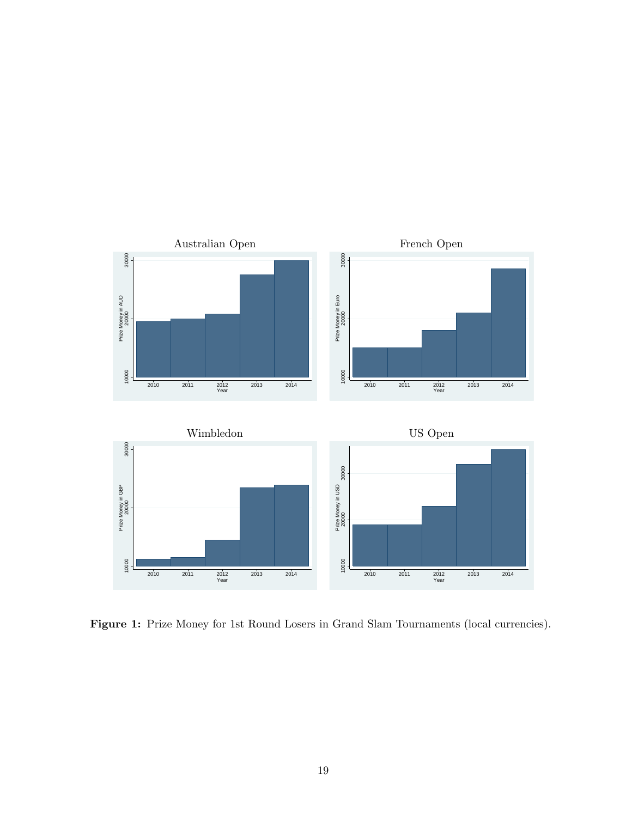<span id="page-21-0"></span>

Figure 1: Prize Money for 1st Round Losers in Grand Slam Tournaments (local currencies).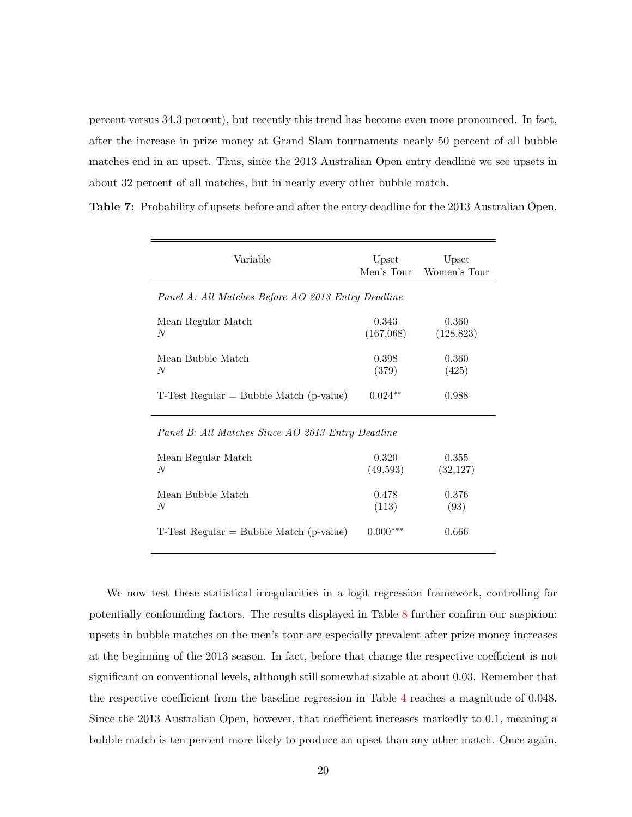percent versus 34.3 percent), but recently this trend has become even more pronounced. In fact, after the increase in prize money at Grand Slam tournaments nearly 50 percent of all bubble matches end in an upset. Thus, since the 2013 Australian Open entry deadline we see upsets in about 32 percent of all matches, but in nearly every other bubble match.

<span id="page-22-0"></span>Table 7: Probability of upsets before and after the entry deadline for the 2013 Australian Open.

| Variable                                           | Upset<br>Men's Tour | Upset<br>Women's Tour |
|----------------------------------------------------|---------------------|-----------------------|
| Panel A: All Matches Before AO 2013 Entry Deadline |                     |                       |
| Mean Regular Match<br>N                            | 0.343<br>(167,068)  | 0.360<br>(128, 823)   |
| Mean Bubble Match<br>N                             | 0.398<br>(379)      | 0.360<br>(425)        |
| $T$ -Test Regular = Bubble Match (p-value)         | $0.024**$           | 0.988                 |

#### Panel B: All Matches Since AO 2013 Entry Deadline

| Mean Regular Match                         | 0.320      | 0.355     |
|--------------------------------------------|------------|-----------|
| N                                          | (49,593)   | (32, 127) |
| Mean Bubble Match                          | 0.478      | 0.376     |
| N                                          | (113)      | (93)      |
| $T$ -Test Regular = Bubble Match (p-value) | $0.000***$ | 0.666     |

We now test these statistical irregularities in a logit regression framework, controlling for potentially confounding factors. The results displayed in Table [8](#page-23-1) further confirm our suspicion: upsets in bubble matches on the men's tour are especially prevalent after prize money increases at the beginning of the 2013 season. In fact, before that change the respective coefficient is not significant on conventional levels, although still somewhat sizable at about 0.03. Remember that the respective coefficient from the baseline regression in Table [4](#page-14-0) reaches a magnitude of 0.048. Since the 2013 Australian Open, however, that coefficient increases markedly to 0.1, meaning a bubble match is ten percent more likely to produce an upset than any other match. Once again,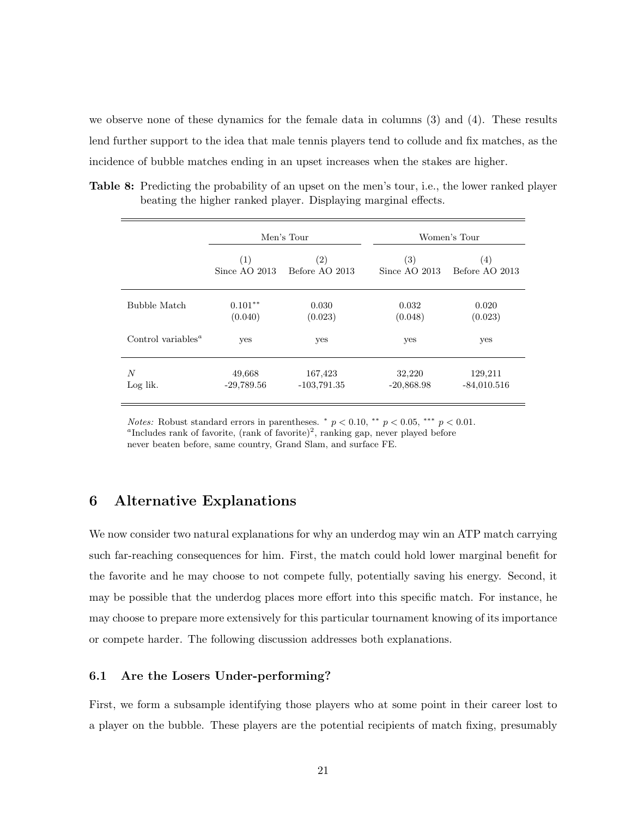we observe none of these dynamics for the female data in columns (3) and (4). These results lend further support to the idea that male tennis players tend to collude and fix matches, as the incidence of bubble matches ending in an upset increases when the stakes are higher.

<span id="page-23-1"></span>Table 8: Predicting the probability of an upset on the men's tour, i.e., the lower ranked player beating the higher ranked player. Displaying marginal effects.

|                                             |                 | Men's Tour        |                   | Women's Tour      |
|---------------------------------------------|-----------------|-------------------|-------------------|-------------------|
|                                             | (1)             | $\left( 2\right)$ | $\left( 3\right)$ | $\left( 4\right)$ |
|                                             | Since AO $2013$ | Before AO 2013    | Since $AO$ 2013   | Before AO 2013    |
| Bubble Match                                | $0.101**$       | 0.030             | 0.032             | 0.020             |
|                                             | (0.040)         | (0.023)           | (0.048)           | (0.023)           |
| Control variables <sup><math>a</math></sup> | yes             | yes               | yes               | yes               |
| N                                           | 49,668          | 167,423           | 32,220            | 129,211           |
| Log lik.                                    | $-29,789.56$    | $-103,791.35$     | $-20,868.98$      | $-84,010.516$     |

*Notes:* Robust standard errors in parentheses.  $p < 0.10$ ,  $\epsilon^{*}$   $p < 0.05$ ,  $\epsilon^{**}$   $p < 0.01$ . <sup>a</sup>Includes rank of favorite, (rank of favorite)<sup>2</sup>, ranking gap, never played before never beaten before, same country, Grand Slam, and surface FE.

#### <span id="page-23-0"></span>6 Alternative Explanations

We now consider two natural explanations for why an underdog may win an ATP match carrying such far-reaching consequences for him. First, the match could hold lower marginal benefit for the favorite and he may choose to not compete fully, potentially saving his energy. Second, it may be possible that the underdog places more effort into this specific match. For instance, he may choose to prepare more extensively for this particular tournament knowing of its importance or compete harder. The following discussion addresses both explanations.

#### 6.1 Are the Losers Under-performing?

First, we form a subsample identifying those players who at some point in their career lost to a player on the bubble. These players are the potential recipients of match fixing, presumably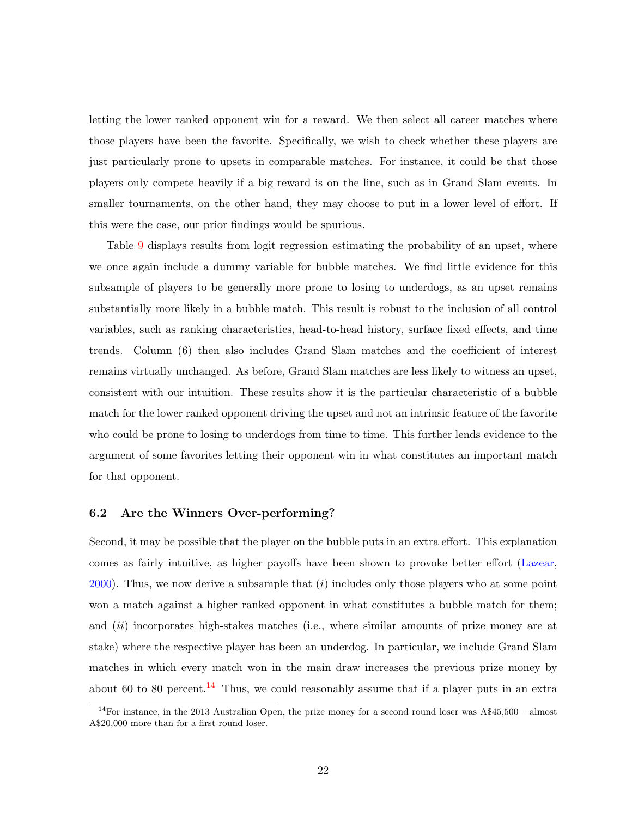letting the lower ranked opponent win for a reward. We then select all career matches where those players have been the favorite. Specifically, we wish to check whether these players are just particularly prone to upsets in comparable matches. For instance, it could be that those players only compete heavily if a big reward is on the line, such as in Grand Slam events. In smaller tournaments, on the other hand, they may choose to put in a lower level of effort. If this were the case, our prior findings would be spurious.

Table [9](#page-25-0) displays results from logit regression estimating the probability of an upset, where we once again include a dummy variable for bubble matches. We find little evidence for this subsample of players to be generally more prone to losing to underdogs, as an upset remains substantially more likely in a bubble match. This result is robust to the inclusion of all control variables, such as ranking characteristics, head-to-head history, surface fixed effects, and time trends. Column (6) then also includes Grand Slam matches and the coefficient of interest remains virtually unchanged. As before, Grand Slam matches are less likely to witness an upset, consistent with our intuition. These results show it is the particular characteristic of a bubble match for the lower ranked opponent driving the upset and not an intrinsic feature of the favorite who could be prone to losing to underdogs from time to time. This further lends evidence to the argument of some favorites letting their opponent win in what constitutes an important match for that opponent.

#### 6.2 Are the Winners Over-performing?

Second, it may be possible that the player on the bubble puts in an extra effort. This explanation comes as fairly intuitive, as higher payoffs have been shown to provoke better effort [\(Lazear,](#page-31-15)  $2000$ ). Thus, we now derive a subsample that  $(i)$  includes only those players who at some point won a match against a higher ranked opponent in what constitutes a bubble match for them; and *(ii)* incorporates high-stakes matches *(i.e., where similar amounts of prize money are at* stake) where the respective player has been an underdog. In particular, we include Grand Slam matches in which every match won in the main draw increases the previous prize money by about 60 to 80 percent.<sup>[14](#page-24-0)</sup> Thus, we could reasonably assume that if a player puts in an extra

<span id="page-24-0"></span><sup>&</sup>lt;sup>14</sup>For instance, in the 2013 Australian Open, the prize money for a second round loser was  $A\$ 45,500 - almost A\$20,000 more than for a first round loser.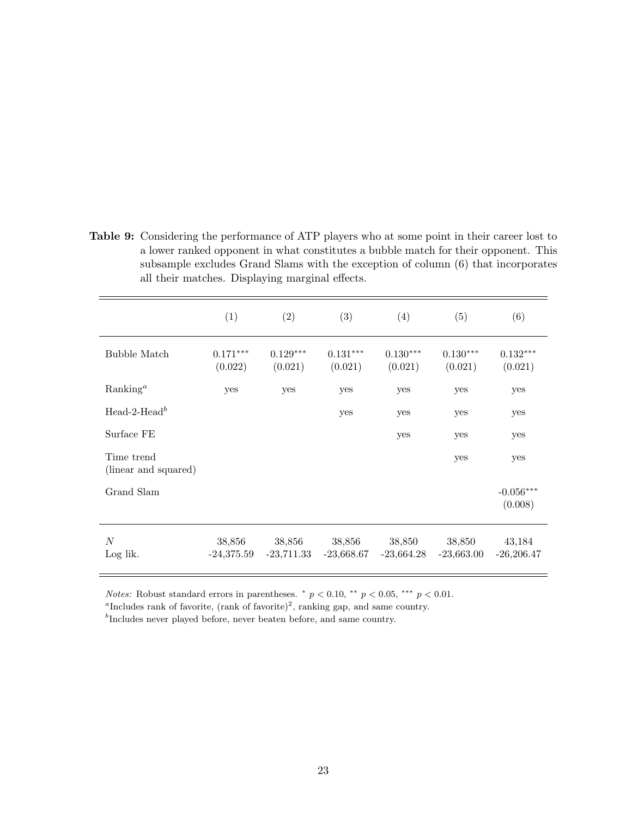<span id="page-25-0"></span>Table 9: Considering the performance of ATP players who at some point in their career lost to a lower ranked opponent in what constitutes a bubble match for their opponent. This subsample excludes Grand Slams with the exception of column (6) that incorporates all their matches. Displaying marginal effects.

|                                    | (1)                    | (2)                    | (3)                    | (4)                    | (5)                    | (6)                    |
|------------------------------------|------------------------|------------------------|------------------------|------------------------|------------------------|------------------------|
| Bubble Match                       | $0.171***$<br>(0.022)  | $0.129***$<br>(0.021)  | $0.131***$<br>(0.021)  | $0.130***$<br>(0.021)  | $0.130***$<br>(0.021)  | $0.132***$<br>(0.021)  |
| Ranking <sup>a</sup>               | yes                    | yes                    | yes                    | yes                    | yes                    | yes                    |
| Head-2-Head <sup>b</sup>           |                        |                        | yes                    | yes                    | yes                    | yes                    |
| Surface FE                         |                        |                        |                        | yes                    | yes                    | yes                    |
| Time trend<br>(linear and squared) |                        |                        |                        |                        | yes                    | yes                    |
| Grand Slam                         |                        |                        |                        |                        |                        | $-0.056***$<br>(0.008) |
| $\boldsymbol{N}$<br>Log lik.       | 38,856<br>$-24,375.59$ | 38,856<br>$-23,711.33$ | 38,856<br>$-23,668.67$ | 38,850<br>$-23,664.28$ | 38,850<br>$-23,663.00$ | 43,184<br>$-26,206.47$ |

*Notes:* Robust standard errors in parentheses.  $p < 0.10$ ,  $\epsilon^{*}$   $p < 0.05$ ,  $\epsilon^{**}$   $p < 0.01$ .

<sup>a</sup>Includes rank of favorite, (rank of favorite)<sup>2</sup>, ranking gap, and same country.

<sup>b</sup>Includes never played before, never beaten before, and same country.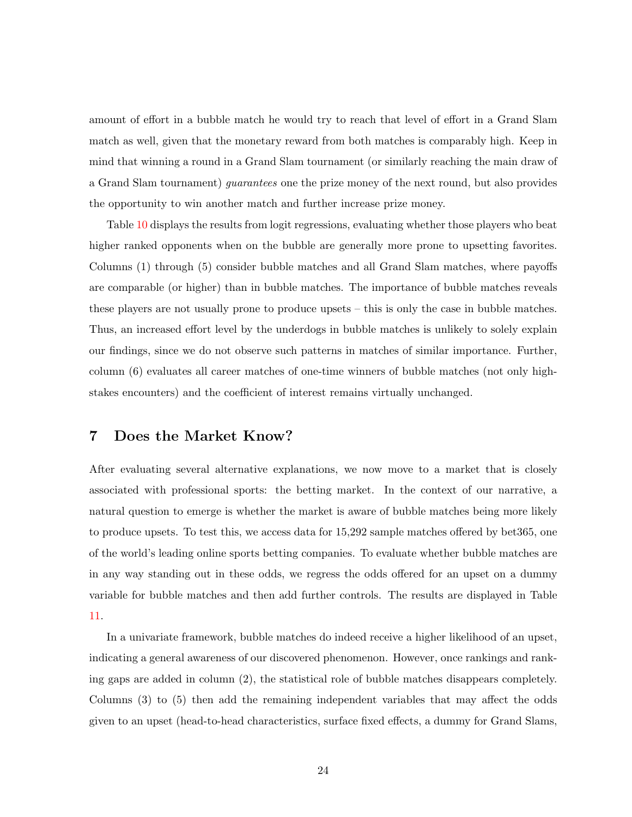amount of effort in a bubble match he would try to reach that level of effort in a Grand Slam match as well, given that the monetary reward from both matches is comparably high. Keep in mind that winning a round in a Grand Slam tournament (or similarly reaching the main draw of a Grand Slam tournament) guarantees one the prize money of the next round, but also provides the opportunity to win another match and further increase prize money.

Table [10](#page-27-0) displays the results from logit regressions, evaluating whether those players who beat higher ranked opponents when on the bubble are generally more prone to upsetting favorites. Columns (1) through (5) consider bubble matches and all Grand Slam matches, where payoffs are comparable (or higher) than in bubble matches. The importance of bubble matches reveals these players are not usually prone to produce upsets – this is only the case in bubble matches. Thus, an increased effort level by the underdogs in bubble matches is unlikely to solely explain our findings, since we do not observe such patterns in matches of similar importance. Further, column (6) evaluates all career matches of one-time winners of bubble matches (not only highstakes encounters) and the coefficient of interest remains virtually unchanged.

#### <span id="page-26-0"></span>7 Does the Market Know?

After evaluating several alternative explanations, we now move to a market that is closely associated with professional sports: the betting market. In the context of our narrative, a natural question to emerge is whether the market is aware of bubble matches being more likely to produce upsets. To test this, we access data for 15,292 sample matches offered by bet365, one of the world's leading online sports betting companies. To evaluate whether bubble matches are in any way standing out in these odds, we regress the odds offered for an upset on a dummy variable for bubble matches and then add further controls. The results are displayed in Table [11.](#page-28-0)

In a univariate framework, bubble matches do indeed receive a higher likelihood of an upset, indicating a general awareness of our discovered phenomenon. However, once rankings and ranking gaps are added in column (2), the statistical role of bubble matches disappears completely. Columns (3) to (5) then add the remaining independent variables that may affect the odds given to an upset (head-to-head characteristics, surface fixed effects, a dummy for Grand Slams,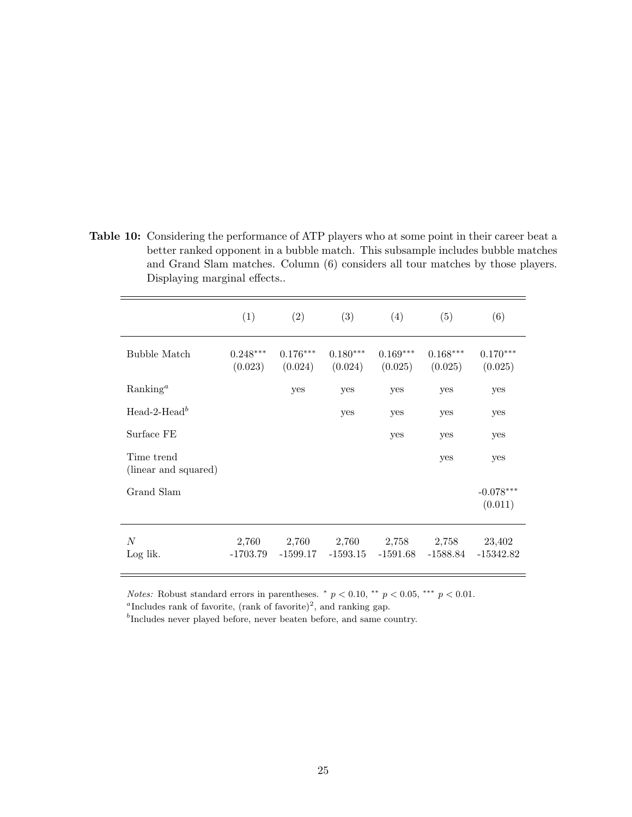<span id="page-27-0"></span>Table 10: Considering the performance of ATP players who at some point in their career beat a better ranked opponent in a bubble match. This subsample includes bubble matches and Grand Slam matches. Column (6) considers all tour matches by those players. Displaying marginal effects..

|                                    | (1)                   | (2)                   | (3)                   | (4)                   | (5)                   | (6)                    |
|------------------------------------|-----------------------|-----------------------|-----------------------|-----------------------|-----------------------|------------------------|
| Bubble Match                       | $0.248***$<br>(0.023) | $0.176***$<br>(0.024) | $0.180***$<br>(0.024) | $0.169***$<br>(0.025) | $0.168***$<br>(0.025) | $0.170***$<br>(0.025)  |
| Ranking <sup>a</sup>               |                       | yes                   | yes                   | yes                   | yes                   | yes                    |
| Head-2-Head <sup>b</sup>           |                       |                       | yes                   | yes                   | yes                   | yes                    |
| Surface FE                         |                       |                       |                       | yes                   | yes                   | yes                    |
| Time trend<br>(linear and squared) |                       |                       |                       |                       | yes                   | yes                    |
| Grand Slam                         |                       |                       |                       |                       |                       | $-0.078***$<br>(0.011) |
| N<br>Log lik.                      | 2,760<br>$-1703.79$   | 2,760<br>$-1599.17$   | 2,760<br>$-1593.15$   | 2,758<br>$-1591.68$   | 2,758<br>-1588.84     | 23,402<br>$-15342.82$  |

*Notes:* Robust standard errors in parentheses.  $p < 0.10$ ,  $\epsilon^{*}$   $p < 0.05$ ,  $\epsilon^{**}$   $p < 0.01$ .

<sup>a</sup>Includes rank of favorite, (rank of favorite)<sup>2</sup>, and ranking gap.

<sup>b</sup>Includes never played before, never beaten before, and same country.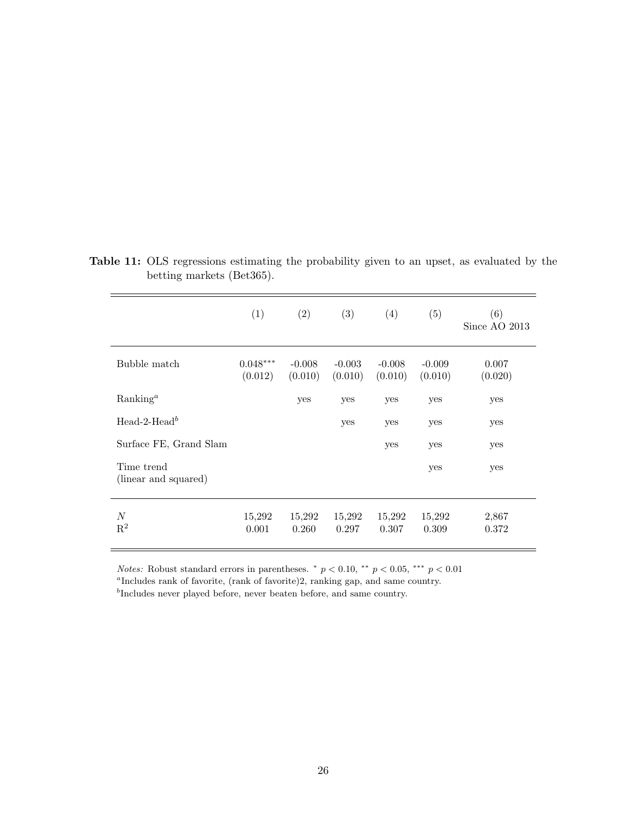|                                    | (1)                   | (2)                 | (3)                 | (4)                 | (5)                 | (6)<br>Since AO $2013$ |
|------------------------------------|-----------------------|---------------------|---------------------|---------------------|---------------------|------------------------|
| Bubble match                       | $0.048***$<br>(0.012) | $-0.008$<br>(0.010) | $-0.003$<br>(0.010) | $-0.008$<br>(0.010) | $-0.009$<br>(0.010) | 0.007<br>(0.020)       |
| $Ranking^a$                        |                       | yes                 | yes                 | yes                 | yes                 | yes                    |
| Head-2-Head <sup>b</sup>           |                       |                     | yes                 | yes                 | yes                 | yes                    |
| Surface FE, Grand Slam             |                       |                     |                     | yes                 | yes                 | yes                    |
| Time trend<br>(linear and squared) |                       |                     |                     |                     | yes                 | yes                    |
| N<br>$\mathbf{R}^2$                | 15,292<br>0.001       | 15,292<br>0.260     | 15,292<br>0.297     | 15,292<br>0.307     | 15,292<br>0.309     | 2,867<br>0.372         |

<span id="page-28-0"></span>Table 11: OLS regressions estimating the probability given to an upset, as evaluated by the betting markets (Bet365).

Notes: Robust standard errors in parentheses.  $p < 0.10$ ,  $\rightarrow p < 0.05$ ,  $\rightarrow \rightarrow p < 0.01$ 

a Includes rank of favorite, (rank of favorite)2, ranking gap, and same country.

<sup>b</sup>Includes never played before, never beaten before, and same country.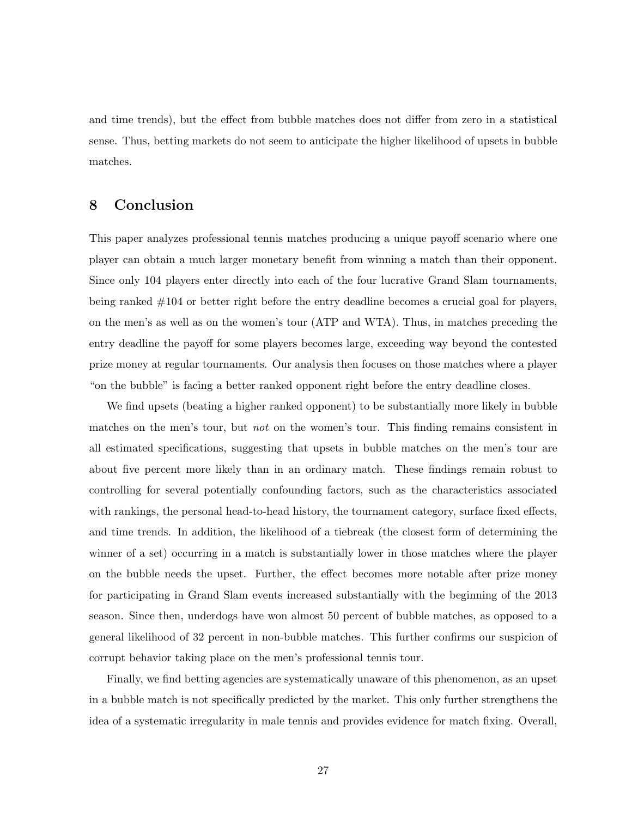and time trends), but the effect from bubble matches does not differ from zero in a statistical sense. Thus, betting markets do not seem to anticipate the higher likelihood of upsets in bubble matches.

#### <span id="page-29-0"></span>8 Conclusion

This paper analyzes professional tennis matches producing a unique payoff scenario where one player can obtain a much larger monetary benefit from winning a match than their opponent. Since only 104 players enter directly into each of the four lucrative Grand Slam tournaments, being ranked #104 or better right before the entry deadline becomes a crucial goal for players, on the men's as well as on the women's tour (ATP and WTA). Thus, in matches preceding the entry deadline the payoff for some players becomes large, exceeding way beyond the contested prize money at regular tournaments. Our analysis then focuses on those matches where a player "on the bubble" is facing a better ranked opponent right before the entry deadline closes.

We find upsets (beating a higher ranked opponent) to be substantially more likely in bubble matches on the men's tour, but not on the women's tour. This finding remains consistent in all estimated specifications, suggesting that upsets in bubble matches on the men's tour are about five percent more likely than in an ordinary match. These findings remain robust to controlling for several potentially confounding factors, such as the characteristics associated with rankings, the personal head-to-head history, the tournament category, surface fixed effects, and time trends. In addition, the likelihood of a tiebreak (the closest form of determining the winner of a set) occurring in a match is substantially lower in those matches where the player on the bubble needs the upset. Further, the effect becomes more notable after prize money for participating in Grand Slam events increased substantially with the beginning of the 2013 season. Since then, underdogs have won almost 50 percent of bubble matches, as opposed to a general likelihood of 32 percent in non-bubble matches. This further confirms our suspicion of corrupt behavior taking place on the men's professional tennis tour.

Finally, we find betting agencies are systematically unaware of this phenomenon, as an upset in a bubble match is not specifically predicted by the market. This only further strengthens the idea of a systematic irregularity in male tennis and provides evidence for match fixing. Overall,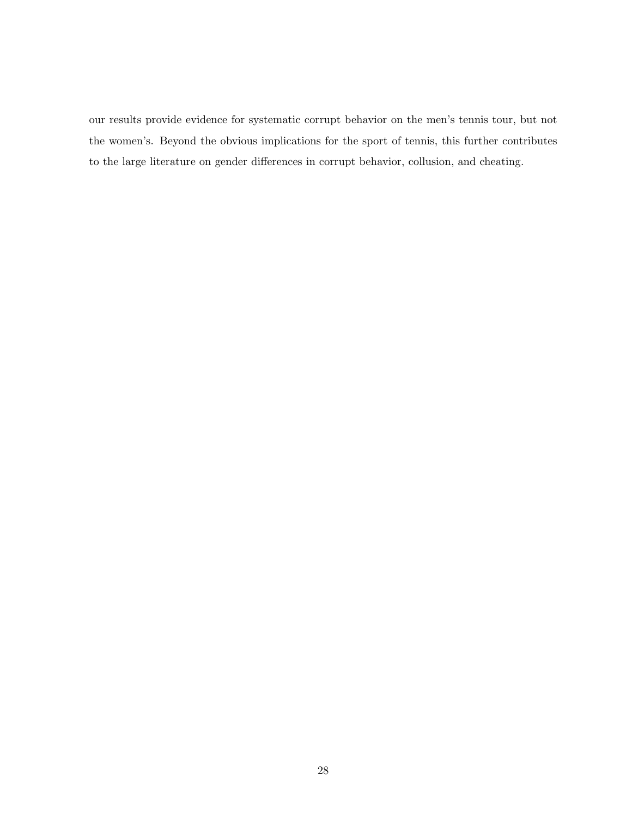our results provide evidence for systematic corrupt behavior on the men's tennis tour, but not the women's. Beyond the obvious implications for the sport of tennis, this further contributes to the large literature on gender differences in corrupt behavior, collusion, and cheating.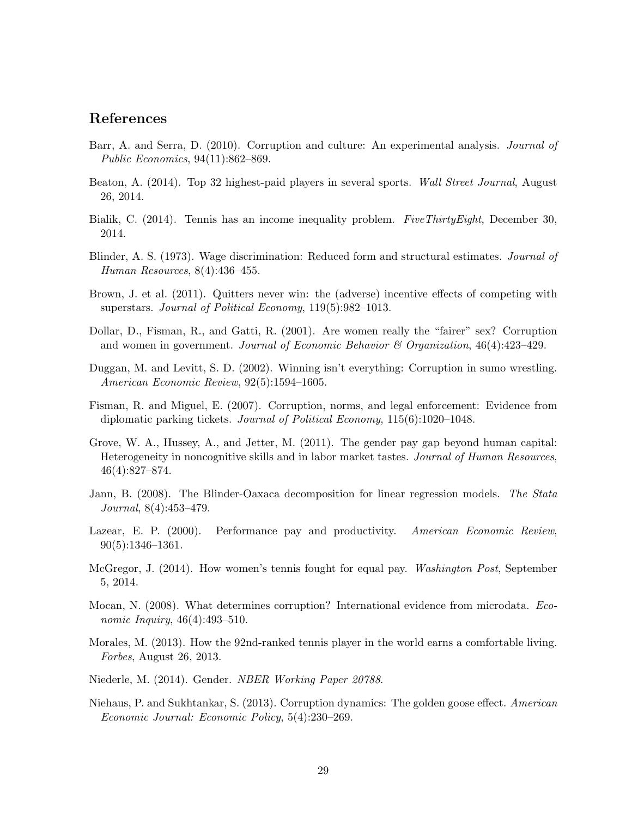#### References

- <span id="page-31-1"></span>Barr, A. and Serra, D. (2010). Corruption and culture: An experimental analysis. *Journal of* Public Economics, 94(11):862–869.
- <span id="page-31-11"></span>Beaton, A. (2014). Top 32 highest-paid players in several sports. Wall Street Journal, August 26, 2014.
- <span id="page-31-9"></span>Bialik, C. (2014). Tennis has an income inequality problem. FiveThirtyEight, December 30, 2014.
- <span id="page-31-13"></span>Blinder, A. S. (1973). Wage discrimination: Reduced form and structural estimates. Journal of Human Resources, 8(4):436–455.
- <span id="page-31-7"></span>Brown, J. et al. (2011). Quitters never win: the (adverse) incentive effects of competing with superstars. Journal of Political Economy, 119(5):982–1013.
- <span id="page-31-6"></span>Dollar, D., Fisman, R., and Gatti, R. (2001). Are women really the "fairer" sex? Corruption and women in government. Journal of Economic Behavior & Organization,  $46(4):423-429$ .
- <span id="page-31-4"></span>Duggan, M. and Levitt, S. D. (2002). Winning isn't everything: Corruption in sumo wrestling. American Economic Review, 92(5):1594–1605.
- <span id="page-31-0"></span>Fisman, R. and Miguel, E. (2007). Corruption, norms, and legal enforcement: Evidence from diplomatic parking tickets. Journal of Political Economy, 115(6):1020-1048.
- <span id="page-31-5"></span>Grove, W. A., Hussey, A., and Jetter, M. (2011). The gender pay gap beyond human capital: Heterogeneity in noncognitive skills and in labor market tastes. Journal of Human Resources, 46(4):827–874.
- <span id="page-31-14"></span>Jann, B. (2008). The Blinder-Oaxaca decomposition for linear regression models. The Stata Journal, 8(4):453–479.
- <span id="page-31-15"></span>Lazear, E. P. (2000). Performance pay and productivity. American Economic Review, 90(5):1346–1361.
- <span id="page-31-12"></span>McGregor, J. (2014). How women's tennis fought for equal pay. Washington Post, September 5, 2014.
- <span id="page-31-2"></span>Mocan, N. (2008). What determines corruption? International evidence from microdata. *Eco*nomic Inquiry, 46(4):493-510.
- <span id="page-31-10"></span>Morales, M. (2013). How the 92nd-ranked tennis player in the world earns a comfortable living. Forbes, August 26, 2013.
- <span id="page-31-8"></span>Niederle, M. (2014). Gender. NBER Working Paper 20788.
- <span id="page-31-3"></span>Niehaus, P. and Sukhtankar, S. (2013). Corruption dynamics: The golden goose effect. American Economic Journal: Economic Policy, 5(4):230–269.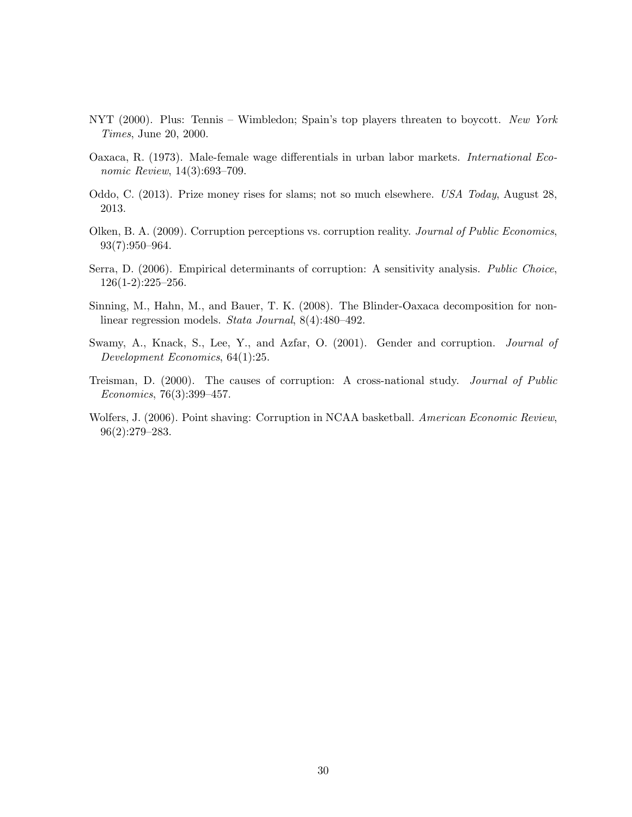- <span id="page-32-6"></span>NYT (2000). Plus: Tennis – Wimbledon; Spain's top players threaten to boycott. New York Times, June 20, 2000.
- <span id="page-32-7"></span>Oaxaca, R. (1973). Male-female wage differentials in urban labor markets. International Economic Review, 14(3):693–709.
- <span id="page-32-5"></span>Oddo, C. (2013). Prize money rises for slams; not so much elsewhere. USA Today, August 28, 2013.
- <span id="page-32-0"></span>Olken, B. A. (2009). Corruption perceptions vs. corruption reality. Journal of Public Economics, 93(7):950–964.
- <span id="page-32-2"></span>Serra, D. (2006). Empirical determinants of corruption: A sensitivity analysis. Public Choice,  $126(1-2):225-256.$
- <span id="page-32-8"></span>Sinning, M., Hahn, M., and Bauer, T. K. (2008). The Blinder-Oaxaca decomposition for nonlinear regression models. Stata Journal, 8(4):480–492.
- <span id="page-32-4"></span>Swamy, A., Knack, S., Lee, Y., and Azfar, O. (2001). Gender and corruption. *Journal of* Development Economics, 64(1):25.
- <span id="page-32-1"></span>Treisman, D. (2000). The causes of corruption: A cross-national study. Journal of Public Economics, 76(3):399–457.
- <span id="page-32-3"></span>Wolfers, J. (2006). Point shaving: Corruption in NCAA basketball. American Economic Review, 96(2):279–283.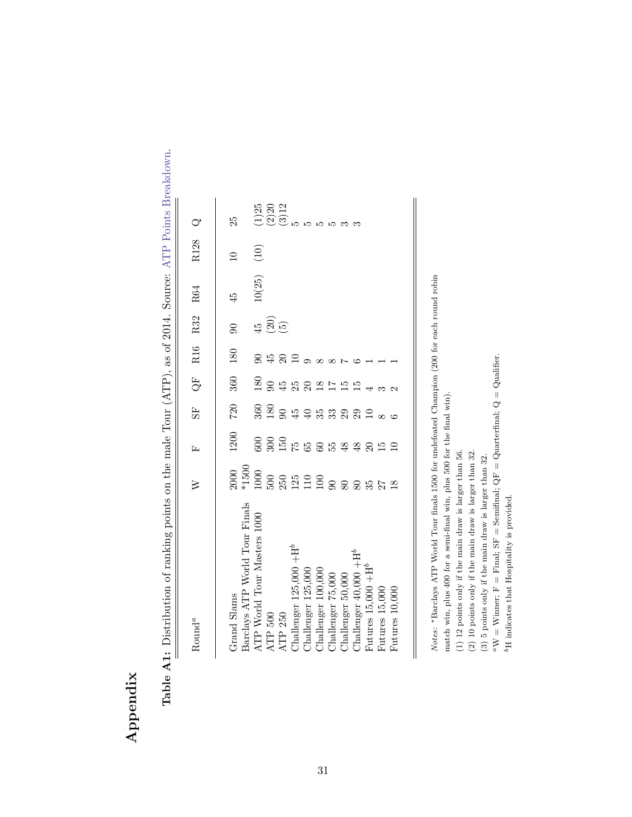# Appendix

<span id="page-33-0"></span>

| $\begin{array}{c}\n\hline\n\end{array}$<br>$\overline{\phantom{a}}$<br>.<br>F<br>F<br>F<br>F                                                                                                                                                                                                         |
|------------------------------------------------------------------------------------------------------------------------------------------------------------------------------------------------------------------------------------------------------------------------------------------------------|
| ĺ<br>l<br>į                                                                                                                                                                                                                                                                                          |
| i<br>Ì                                                                                                                                                                                                                                                                                               |
| SAMAN TETAL IN THE TANK IN THE TANK OF THE SAME AND THE TANK OF THE TANK OF THE TANK OF THE TANK OF THE TANK OF THE TANK OF THE TANK OF THE TANK OF THE TANK OF THE TANK OF THE TANK OF THE TANK OF THE TANK OF THE TANK OF TH                                                                       |
| $\frac{1}{2}$                                                                                                                                                                                                                                                                                        |
| $\ddot{a}$ , $\ddot{a}$ , $\ddot{a}$ , $\ddot{a}$ , $\ddot{a}$ , $\ddot{a}$ , $\ddot{a}$ , $\ddot{a}$ , $\ddot{a}$ , $\ddot{a}$ , $\ddot{a}$ , $\ddot{a}$ , $\ddot{a}$ , $\ddot{a}$ , $\ddot{a}$ , $\ddot{a}$ , $\ddot{a}$ , $\ddot{a}$ , $\ddot{a}$ , $\ddot{a}$ ,<br>į<br>$\overline{\phantom{a}}$ |
| -<br>}                                                                                                                                                                                                                                                                                               |
|                                                                                                                                                                                                                                                                                                      |
| i<br>l<br>J                                                                                                                                                                                                                                                                                          |
| 1. 医血管切除术 医心脏病 医心脏病 医心脏病 医心脏病 医心脏病 医心脏病                                                                                                                                                                                                                                                              |
| i<br>j<br>j                                                                                                                                                                                                                                                                                          |
| ì<br>- 1<br>- 1<br>- 1<br>$\overline{\phantom{a}}$<br>י                                                                                                                                                                                                                                              |
| l<br>l<br>1                                                                                                                                                                                                                                                                                          |
| ֦֧֦֧ׅ֧ׅ֧ׅ֧ׅ֧ׅ֧֧ׅ֧ׅ֧ׅ֧֧ׅ֧֛֛֛֚֚֚֚֚֚֚֬֝֜֓֜֓֜֓֜֓֜֓֝֬֜֓֜֓֜֓֜֜֓֜֜<br>Í<br>$\frac{1}{2}$<br>İ                                                                                                                                                                                                               |

| ${\rm Round}^a$                    | $\geqslant$ | Ŀ                                                        | 55    | Ğ                  | R16        | R32                            | R64    | R128            |                               |
|------------------------------------|-------------|----------------------------------------------------------|-------|--------------------|------------|--------------------------------|--------|-----------------|-------------------------------|
|                                    |             |                                                          |       |                    |            |                                |        |                 |                               |
| Grand Slams                        |             | 1200                                                     | $720$ | 360                | 180        | $\overline{6}$                 | 45     | $\overline{10}$ | 25                            |
| Barclays ATP World Tour Finals     |             |                                                          |       |                    |            |                                |        |                 |                               |
| ATP World Tour Masters 1000        |             |                                                          |       |                    |            |                                | 10(25) | $(10)$          |                               |
| ATP $500\,$                        |             |                                                          |       |                    | 9.45       |                                |        |                 | $(1)25$<br>$(2)20$<br>$(3)12$ |
| ATP 250                            |             |                                                          |       |                    | $\Omega$ ລ | $\frac{45}{9}$ $\odot$ $\odot$ |        |                 |                               |
| Challenger 125,000 $+\mathrm{H}^b$ |             | 6 3 5 5 6 6 5 3 4 4 5 5 5 5<br>6 9 5 5 6 6 5 4 4 5 5 5 5 |       | 80 9 4 5 9 9 2 5 7 |            |                                |        |                 |                               |
| Challenger 125,000                 |             |                                                          |       |                    |            |                                |        |                 |                               |
| Challenger 100,000                 |             |                                                          |       |                    | $\infty$   |                                |        |                 |                               |
| Challenger 75,000                  |             |                                                          |       |                    |            |                                |        |                 |                               |
| Challenger 50,000                  |             |                                                          |       | 15E                |            |                                |        |                 |                               |
| Challenger $40,000 + H^b$          |             |                                                          |       |                    |            |                                |        |                 |                               |
| Futures $15,000 + H^b$             |             |                                                          |       |                    |            |                                |        |                 |                               |
| Futures 15,000                     |             |                                                          |       |                    |            |                                |        |                 |                               |
| Futures 10,000                     |             |                                                          |       |                    |            |                                |        |                 |                               |
|                                    |             |                                                          |       |                    |            |                                |        |                 |                               |

Notes: \*Barclays ATP World Tour finals 1500 for undefeated Champion (200 for each round robin Notes: ∗Barclays ATP World Tour finals 1500 for undefeated Champion (200 for each round robin

 $\overline{\phantom{a}}$ 

match win, plus 400 for a semi-final win, plus 500 for the final win). match win, plus 400 for a semi-final win, plus 500 for the final win).

 $\parallel$ 

 $(1)$  12 points only if the main draw is larger than 56. (1) 12 points only if the main draw is larger than 56.

 $\left( 2\right)$  10 points only if the main draw is larger than 32. (2) 10 points only if the main draw is larger than 32.

(3) 5 points only if the main draw is larger than 32.

(3) 5 points only if the main draw is larger than 32.<br> ${}^a$ W = Winner; F = Final; SF = Semifinal; QF = Quarter<br>final; Q = Qualifier.  $a_{\rm W} =$  Winner; F = Final; SF = Semifinal; QF = Quarterfinal; Q = Qualifier.

 $\ensuremath{^{\mathrm{b} \mathrm{H}}}$  indicates that Hospitality is provided. bH indicates that Hospitality is provided.